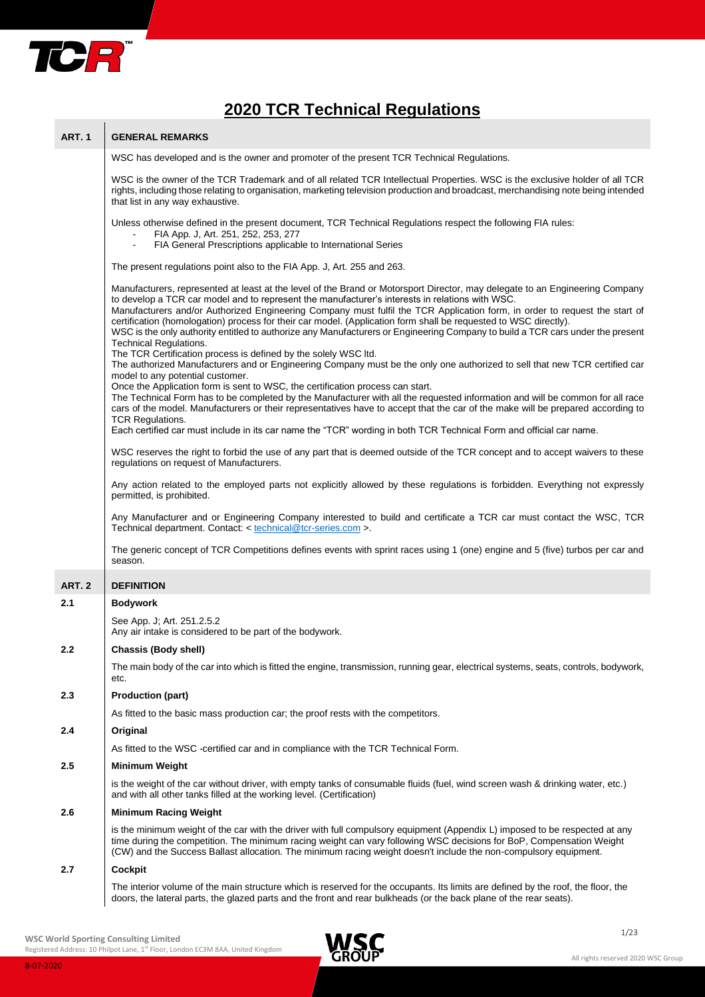

# **2020 TCR Technical Regulations**

| <b>ART. 1</b> | <b>GENERAL REMARKS</b>                                                                                                                                                                                                                                                                                                                                                                                                                                                                                                                                                                                                                                                                                                                                                                                                                                                                    |
|---------------|-------------------------------------------------------------------------------------------------------------------------------------------------------------------------------------------------------------------------------------------------------------------------------------------------------------------------------------------------------------------------------------------------------------------------------------------------------------------------------------------------------------------------------------------------------------------------------------------------------------------------------------------------------------------------------------------------------------------------------------------------------------------------------------------------------------------------------------------------------------------------------------------|
|               | WSC has developed and is the owner and promoter of the present TCR Technical Regulations.                                                                                                                                                                                                                                                                                                                                                                                                                                                                                                                                                                                                                                                                                                                                                                                                 |
|               | WSC is the owner of the TCR Trademark and of all related TCR Intellectual Properties. WSC is the exclusive holder of all TCR<br>rights, including those relating to organisation, marketing television production and broadcast, merchandising note being intended<br>that list in any way exhaustive.                                                                                                                                                                                                                                                                                                                                                                                                                                                                                                                                                                                    |
|               | Unless otherwise defined in the present document, TCR Technical Regulations respect the following FIA rules:<br>FIA App. J, Art. 251, 252, 253, 277<br>FIA General Prescriptions applicable to International Series<br>$\blacksquare$                                                                                                                                                                                                                                                                                                                                                                                                                                                                                                                                                                                                                                                     |
|               | The present regulations point also to the FIA App. J, Art. 255 and 263.                                                                                                                                                                                                                                                                                                                                                                                                                                                                                                                                                                                                                                                                                                                                                                                                                   |
|               | Manufacturers, represented at least at the level of the Brand or Motorsport Director, may delegate to an Engineering Company<br>to develop a TCR car model and to represent the manufacturer's interests in relations with WSC.<br>Manufacturers and/or Authorized Engineering Company must fulfil the TCR Application form, in order to request the start of<br>certification (homologation) process for their car model. (Application form shall be requested to WSC directly).<br>WSC is the only authority entitled to authorize any Manufacturers or Engineering Company to build a TCR cars under the present<br><b>Technical Regulations.</b><br>The TCR Certification process is defined by the solely WSC ltd.<br>The authorized Manufacturers and or Engineering Company must be the only one authorized to sell that new TCR certified car<br>model to any potential customer. |
|               | Once the Application form is sent to WSC, the certification process can start.<br>The Technical Form has to be completed by the Manufacturer with all the requested information and will be common for all race<br>cars of the model. Manufacturers or their representatives have to accept that the car of the make will be prepared according to<br><b>TCR Regulations.</b>                                                                                                                                                                                                                                                                                                                                                                                                                                                                                                             |
|               | Each certified car must include in its car name the "TCR" wording in both TCR Technical Form and official car name.                                                                                                                                                                                                                                                                                                                                                                                                                                                                                                                                                                                                                                                                                                                                                                       |
|               | WSC reserves the right to forbid the use of any part that is deemed outside of the TCR concept and to accept waivers to these<br>regulations on request of Manufacturers.                                                                                                                                                                                                                                                                                                                                                                                                                                                                                                                                                                                                                                                                                                                 |
|               | Any action related to the employed parts not explicitly allowed by these regulations is forbidden. Everything not expressly<br>permitted, is prohibited.                                                                                                                                                                                                                                                                                                                                                                                                                                                                                                                                                                                                                                                                                                                                  |
|               | Any Manufacturer and or Engineering Company interested to build and certificate a TCR car must contact the WSC, TCR<br>Technical department. Contact: < technical@tcr-series.com >.                                                                                                                                                                                                                                                                                                                                                                                                                                                                                                                                                                                                                                                                                                       |
|               | The generic concept of TCR Competitions defines events with sprint races using 1 (one) engine and 5 (five) turbos per car and<br>season.                                                                                                                                                                                                                                                                                                                                                                                                                                                                                                                                                                                                                                                                                                                                                  |
| <b>ART. 2</b> | <b>DEFINITION</b>                                                                                                                                                                                                                                                                                                                                                                                                                                                                                                                                                                                                                                                                                                                                                                                                                                                                         |
| 2.1           | <b>Bodywork</b>                                                                                                                                                                                                                                                                                                                                                                                                                                                                                                                                                                                                                                                                                                                                                                                                                                                                           |
|               | See App. J; Art. 251.2.5.2<br>Any air intake is considered to be part of the bodywork.                                                                                                                                                                                                                                                                                                                                                                                                                                                                                                                                                                                                                                                                                                                                                                                                    |
| 2.2           | Chassis (Body shell)                                                                                                                                                                                                                                                                                                                                                                                                                                                                                                                                                                                                                                                                                                                                                                                                                                                                      |
|               | The main body of the car into which is fitted the engine, transmission, running gear, electrical systems, seats, controls, bodywork,<br>etc.                                                                                                                                                                                                                                                                                                                                                                                                                                                                                                                                                                                                                                                                                                                                              |
| 2.3           | <b>Production (part)</b>                                                                                                                                                                                                                                                                                                                                                                                                                                                                                                                                                                                                                                                                                                                                                                                                                                                                  |
|               | As fitted to the basic mass production car; the proof rests with the competitors.                                                                                                                                                                                                                                                                                                                                                                                                                                                                                                                                                                                                                                                                                                                                                                                                         |
| 2.4           | Original                                                                                                                                                                                                                                                                                                                                                                                                                                                                                                                                                                                                                                                                                                                                                                                                                                                                                  |
|               | As fitted to the WSC -certified car and in compliance with the TCR Technical Form.                                                                                                                                                                                                                                                                                                                                                                                                                                                                                                                                                                                                                                                                                                                                                                                                        |
| 2.5           | <b>Minimum Weight</b>                                                                                                                                                                                                                                                                                                                                                                                                                                                                                                                                                                                                                                                                                                                                                                                                                                                                     |
|               | is the weight of the car without driver, with empty tanks of consumable fluids (fuel, wind screen wash & drinking water, etc.)<br>and with all other tanks filled at the working level. (Certification)                                                                                                                                                                                                                                                                                                                                                                                                                                                                                                                                                                                                                                                                                   |
| 2.6           | <b>Minimum Racing Weight</b>                                                                                                                                                                                                                                                                                                                                                                                                                                                                                                                                                                                                                                                                                                                                                                                                                                                              |
|               | is the minimum weight of the car with the driver with full compulsory equipment (Appendix L) imposed to be respected at any<br>time during the competition. The minimum racing weight can vary following WSC decisions for BoP, Compensation Weight<br>(CW) and the Success Ballast allocation. The minimum racing weight doesn't include the non-compulsory equipment.                                                                                                                                                                                                                                                                                                                                                                                                                                                                                                                   |
| 2.7           | <b>Cockpit</b>                                                                                                                                                                                                                                                                                                                                                                                                                                                                                                                                                                                                                                                                                                                                                                                                                                                                            |
|               | The interior volume of the main structure which is reserved for the occupants. Its limits are defined by the roof, the floor, the<br>doors, the lateral parts, the glazed parts and the front and rear bulkheads (or the back plane of the rear seats).                                                                                                                                                                                                                                                                                                                                                                                                                                                                                                                                                                                                                                   |

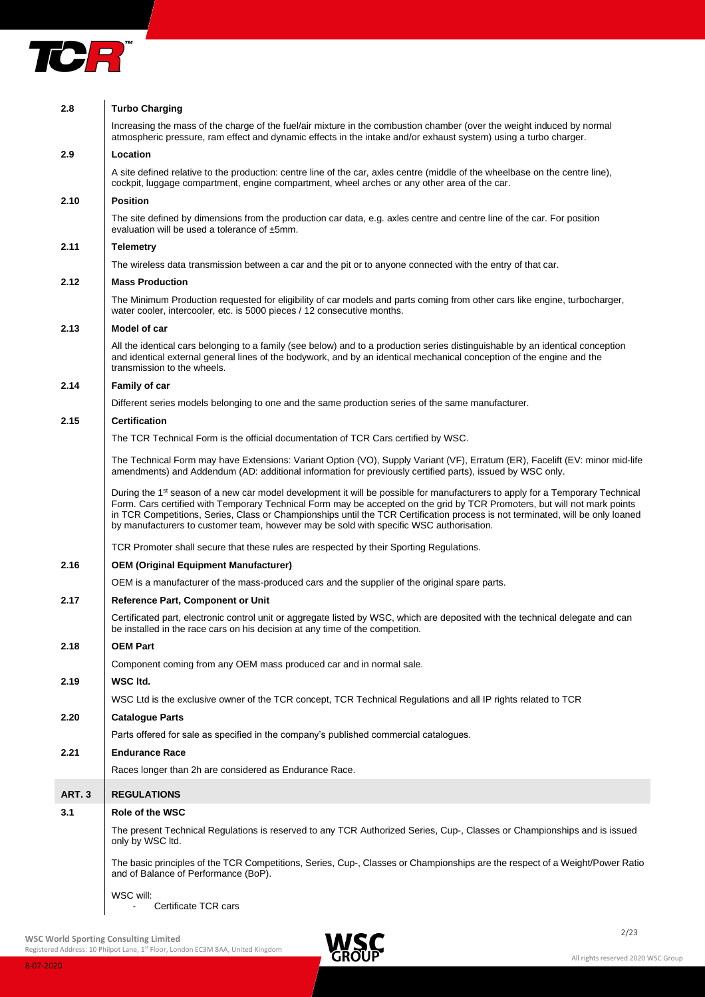

| 2.8    | <b>Turbo Charging</b>                                                                                                                                                                                                                                                                                                                                                                                                                                                                               |
|--------|-----------------------------------------------------------------------------------------------------------------------------------------------------------------------------------------------------------------------------------------------------------------------------------------------------------------------------------------------------------------------------------------------------------------------------------------------------------------------------------------------------|
|        | Increasing the mass of the charge of the fuel/air mixture in the combustion chamber (over the weight induced by normal<br>atmospheric pressure, ram effect and dynamic effects in the intake and/or exhaust system) using a turbo charger.                                                                                                                                                                                                                                                          |
| 2.9    | Location                                                                                                                                                                                                                                                                                                                                                                                                                                                                                            |
|        | A site defined relative to the production: centre line of the car, axles centre (middle of the wheelbase on the centre line),<br>cockpit, luggage compartment, engine compartment, wheel arches or any other area of the car.                                                                                                                                                                                                                                                                       |
| 2.10   | <b>Position</b>                                                                                                                                                                                                                                                                                                                                                                                                                                                                                     |
|        | The site defined by dimensions from the production car data, e.g. axles centre and centre line of the car. For position<br>evaluation will be used a tolerance of ±5mm.                                                                                                                                                                                                                                                                                                                             |
| 2.11   | <b>Telemetry</b>                                                                                                                                                                                                                                                                                                                                                                                                                                                                                    |
|        | The wireless data transmission between a car and the pit or to anyone connected with the entry of that car.                                                                                                                                                                                                                                                                                                                                                                                         |
| 2.12   | <b>Mass Production</b>                                                                                                                                                                                                                                                                                                                                                                                                                                                                              |
|        | The Minimum Production requested for eligibility of car models and parts coming from other cars like engine, turbocharger,<br>water cooler, intercooler, etc. is 5000 pieces / 12 consecutive months.                                                                                                                                                                                                                                                                                               |
| 2.13   | Model of car                                                                                                                                                                                                                                                                                                                                                                                                                                                                                        |
|        | All the identical cars belonging to a family (see below) and to a production series distinguishable by an identical conception<br>and identical external general lines of the bodywork, and by an identical mechanical conception of the engine and the<br>transmission to the wheels.                                                                                                                                                                                                              |
| 2.14   | <b>Family of car</b>                                                                                                                                                                                                                                                                                                                                                                                                                                                                                |
|        | Different series models belonging to one and the same production series of the same manufacturer.                                                                                                                                                                                                                                                                                                                                                                                                   |
| 2.15   | <b>Certification</b>                                                                                                                                                                                                                                                                                                                                                                                                                                                                                |
|        | The TCR Technical Form is the official documentation of TCR Cars certified by WSC.                                                                                                                                                                                                                                                                                                                                                                                                                  |
|        | The Technical Form may have Extensions: Variant Option (VO), Supply Variant (VF), Erratum (ER), Facelift (EV: minor mid-life<br>amendments) and Addendum (AD: additional information for previously certified parts), issued by WSC only.                                                                                                                                                                                                                                                           |
|        | During the 1 <sup>st</sup> season of a new car model development it will be possible for manufacturers to apply for a Temporary Technical<br>Form. Cars certified with Temporary Technical Form may be accepted on the grid by TCR Promoters, but will not mark points<br>in TCR Competitions, Series, Class or Championships until the TCR Certification process is not terminated, will be only loaned<br>by manufacturers to customer team, however may be sold with specific WSC authorisation. |
|        | TCR Promoter shall secure that these rules are respected by their Sporting Regulations.                                                                                                                                                                                                                                                                                                                                                                                                             |
| 2.16   | <b>OEM (Original Equipment Manufacturer)</b>                                                                                                                                                                                                                                                                                                                                                                                                                                                        |
|        | OEM is a manufacturer of the mass-produced cars and the supplier of the original spare parts.                                                                                                                                                                                                                                                                                                                                                                                                       |
| 2.17   | Reference Part, Component or Unit                                                                                                                                                                                                                                                                                                                                                                                                                                                                   |
|        | Certificated part, electronic control unit or aggregate listed by WSC, which are deposited with the technical delegate and can<br>be installed in the race cars on his decision at any time of the competition.                                                                                                                                                                                                                                                                                     |
| 2.18   | OEM Part                                                                                                                                                                                                                                                                                                                                                                                                                                                                                            |
|        | Component coming from any OEM mass produced car and in normal sale.                                                                                                                                                                                                                                                                                                                                                                                                                                 |
| 2.19   | WSC Itd.                                                                                                                                                                                                                                                                                                                                                                                                                                                                                            |
|        | WSC Ltd is the exclusive owner of the TCR concept, TCR Technical Regulations and all IP rights related to TCR                                                                                                                                                                                                                                                                                                                                                                                       |
| 2.20   | <b>Catalogue Parts</b>                                                                                                                                                                                                                                                                                                                                                                                                                                                                              |
|        | Parts offered for sale as specified in the company's published commercial catalogues.                                                                                                                                                                                                                                                                                                                                                                                                               |
| 2.21   | <b>Endurance Race</b>                                                                                                                                                                                                                                                                                                                                                                                                                                                                               |
|        | Races longer than 2h are considered as Endurance Race.                                                                                                                                                                                                                                                                                                                                                                                                                                              |
| ART. 3 | <b>REGULATIONS</b>                                                                                                                                                                                                                                                                                                                                                                                                                                                                                  |
| 3.1    | Role of the WSC                                                                                                                                                                                                                                                                                                                                                                                                                                                                                     |
|        | The present Technical Regulations is reserved to any TCR Authorized Series, Cup-, Classes or Championships and is issued<br>only by WSC ltd.                                                                                                                                                                                                                                                                                                                                                        |
|        | The basic principles of the TCR Competitions, Series, Cup-, Classes or Championships are the respect of a Weight/Power Ratio<br>and of Balance of Performance (BoP).                                                                                                                                                                                                                                                                                                                                |
|        | WSC will:<br>Certificate TCR cars                                                                                                                                                                                                                                                                                                                                                                                                                                                                   |

2/23 **WSC World Sporting Consulting Limited**

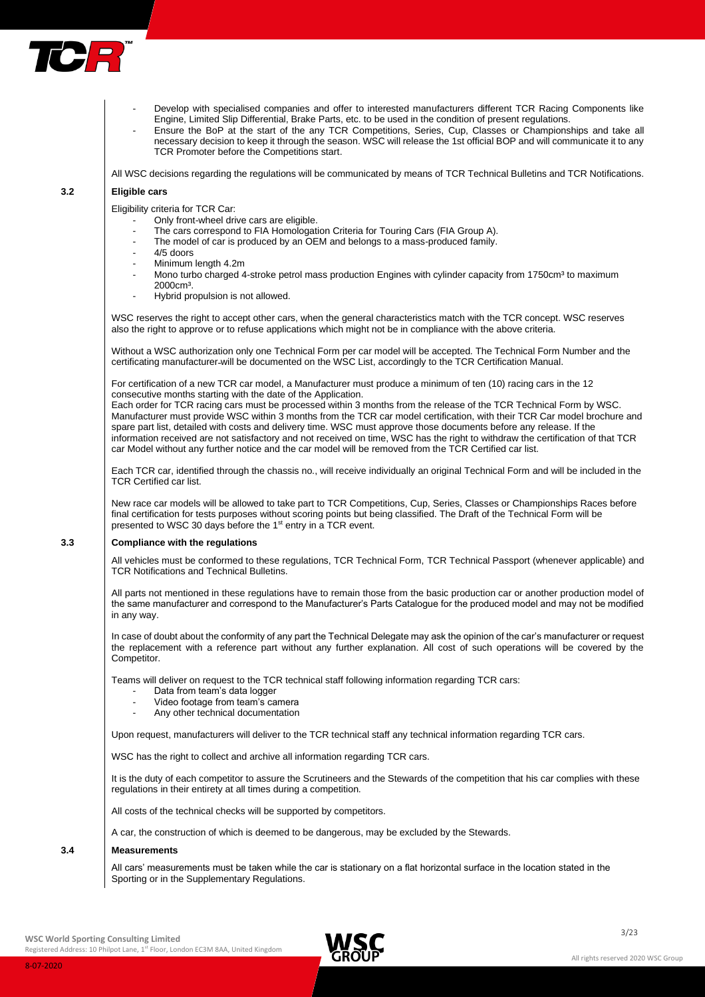

- Develop with specialised companies and offer to interested manufacturers different TCR Racing Components like Engine, Limited Slip Differential, Brake Parts, etc. to be used in the condition of present regulations.
- Ensure the BoP at the start of the any TCR Competitions, Series, Cup, Classes or Championships and take all necessary decision to keep it through the season. WSC will release the 1st official BOP and will communicate it to any TCR Promoter before the Competitions start.

All WSC decisions regarding the regulations will be communicated by means of TCR Technical Bulletins and TCR Notifications.

# **3.2 Eligible cars**

Eligibility criteria for TCR Car:

- Only front-wheel drive cars are eligible.
- The cars correspond to FIA Homologation Criteria for Touring Cars (FIA Group A).
- The model of car is produced by an OEM and belongs to a mass-produced family.
- 4/5 doors
- Minimum length 4.2m
- Mono turbo charged 4-stroke petrol mass production Engines with cylinder capacity from 1750cm<sup>3</sup> to maximum 2000cm³.
- Hybrid propulsion is not allowed.

WSC reserves the right to accept other cars, when the general characteristics match with the TCR concept. WSC reserves also the right to approve or to refuse applications which might not be in compliance with the above criteria.

Without a WSC authorization only one Technical Form per car model will be accepted. The Technical Form Number and the certificating manufacturer will be documented on the WSC List, accordingly to the TCR Certification Manual.

For certification of a new TCR car model, a Manufacturer must produce a minimum of ten (10) racing cars in the 12 consecutive months starting with the date of the Application.

Each order for TCR racing cars must be processed within 3 months from the release of the TCR Technical Form by WSC. Manufacturer must provide WSC within 3 months from the TCR car model certification, with their TCR Car model brochure and spare part list, detailed with costs and delivery time. WSC must approve those documents before any release. If the information received are not satisfactory and not received on time, WSC has the right to withdraw the certification of that TCR car Model without any further notice and the car model will be removed from the TCR Certified car list.

Each TCR car, identified through the chassis no., will receive individually an original Technical Form and will be included in the TCR Certified car list.

New race car models will be allowed to take part to TCR Competitions, Cup, Series, Classes or Championships Races before final certification for tests purposes without scoring points but being classified. The Draft of the Technical Form will be presented to WSC 30 days before the 1<sup>st</sup> entry in a TCR event.

# **3.3 Compliance with the regulations**

All vehicles must be conformed to these regulations, TCR Technical Form, TCR Technical Passport (whenever applicable) and TCR Notifications and Technical Bulletins.

All parts not mentioned in these regulations have to remain those from the basic production car or another production model of the same manufacturer and correspond to the Manufacturer's Parts Catalogue for the produced model and may not be modified in any way.

In case of doubt about the conformity of any part the Technical Delegate may ask the opinion of the car's manufacturer or request the replacement with a reference part without any further explanation. All cost of such operations will be covered by the **Competitor** 

Teams will deliver on request to the TCR technical staff following information regarding TCR cars:

- Data from team's data logger
- Video footage from team's camera
- Any other technical documentation

Upon request, manufacturers will deliver to the TCR technical staff any technical information regarding TCR cars.

WSC has the right to collect and archive all information regarding TCR cars.

It is the duty of each competitor to assure the Scrutineers and the Stewards of the competition that his car complies with these regulations in their entirety at all times during a competition.

All costs of the technical checks will be supported by competitors.

A car, the construction of which is deemed to be dangerous, may be excluded by the Stewards.

## **3.4 Measurements**

All cars' measurements must be taken while the car is stationary on a flat horizontal surface in the location stated in the Sporting or in the Supplementary Regulations.

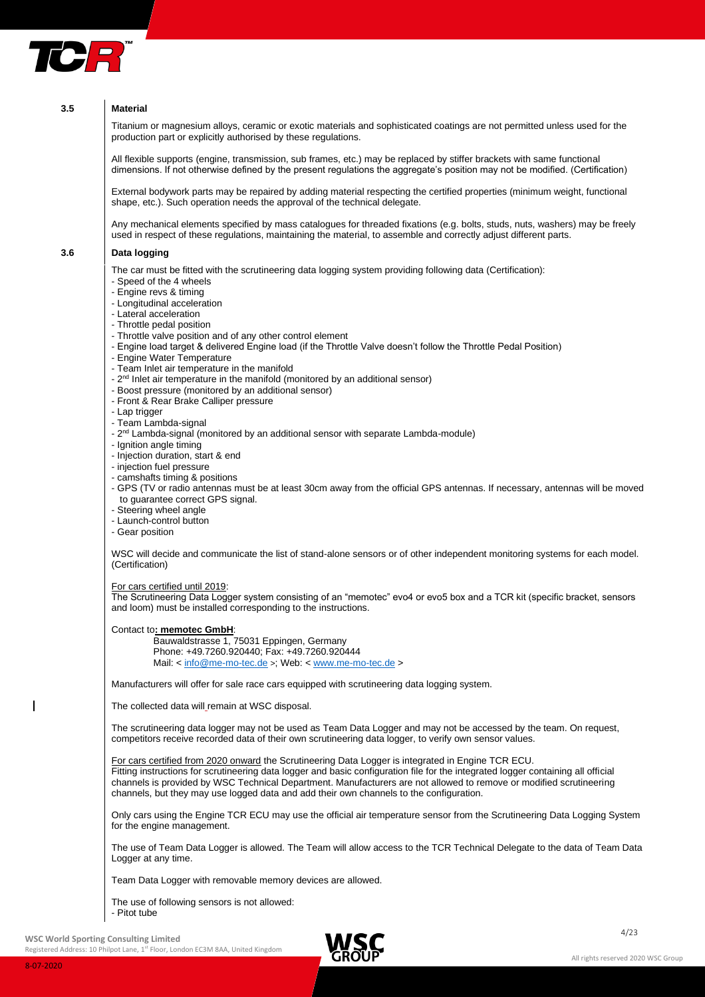

# **3.5 Material**

Titanium or magnesium alloys, ceramic or exotic materials and sophisticated coatings are not permitted unless used for the production part or explicitly authorised by these regulations.

All flexible supports (engine, transmission, sub frames, etc.) may be replaced by stiffer brackets with same functional dimensions. If not otherwise defined by the present regulations the aggregate's position may not be modified. (Certification)

External bodywork parts may be repaired by adding material respecting the certified properties (minimum weight, functional shape, etc.). Such operation needs the approval of the technical delegate.

Any mechanical elements specified by mass catalogues for threaded fixations (e.g. bolts, studs, nuts, washers) may be freely used in respect of these regulations, maintaining the material, to assemble and correctly adjust different parts.

# **3.6 Data logging**

The car must be fitted with the scrutineering data logging system providing following data (Certification):

- Speed of the 4 wheels
- Engine revs & timing
- Longitudinal acceleration
- Lateral acceleration
- Throttle pedal position
- Throttle valve position and of any other control element
- Engine load target & delivered Engine load (if the Throttle Valve doesn't follow the Throttle Pedal Position)
- Engine Water Temperature
- Team Inlet air temperature in the manifold
- 2<sup>nd</sup> Inlet air temperature in the manifold (monitored by an additional sensor)
- Boost pressure (monitored by an additional sensor)
- Front & Rear Brake Calliper pressure
- Lap trigger
- Team Lambda-signal
- 2<sup>nd</sup> Lambda-signal (monitored by an additional sensor with separate Lambda-module)
- Ignition angle timing
- Injection duration, start & end
- injection fuel pressure
- camshafts timing & positions

- GPS (TV or radio antennas must be at least 30cm away from the official GPS antennas. If necessary, antennas will be moved to guarantee correct GPS signal.

- Steering wheel angle
- Launch-control button
- Gear position

WSC will decide and communicate the list of stand-alone sensors or of other independent monitoring systems for each model. (Certification)

For cars certified until 2019:

The Scrutineering Data Logger system consisting of an "memotec" evo4 or evo5 box and a TCR kit (specific bracket, sensors and loom) must be installed corresponding to the instructions.

Contact to**: memotec GmbH**:

Bauwaldstrasse 1, 75031 Eppingen, Germany Phone: +49.7260.920440; Fax: +49.7260.920444 Mail: [< info@me-mo-tec.de](mailto:info@me-mo-tec.de) >; Web: [< www.me-mo-tec.de](http://www.me-mo-tec.de/) >

Manufacturers will offer for sale race cars equipped with scrutineering data logging system.

The collected data will\_remain at WSC disposal.

The scrutineering data logger may not be used as Team Data Logger and may not be accessed by the team. On request, competitors receive recorded data of their own scrutineering data logger, to verify own sensor values.

For cars certified from 2020 onward the Scrutineering Data Logger is integrated in Engine TCR ECU. Fitting instructions for scrutineering data logger and basic configuration file for the integrated logger containing all official channels is provided by WSC Technical Department. Manufacturers are not allowed to remove or modified scrutineering channels, but they may use logged data and add their own channels to the configuration.

Only cars using the Engine TCR ECU may use the official air temperature sensor from the Scrutineering Data Logging System for the engine management.

The use of Team Data Logger is allowed. The Team will allow access to the TCR Technical Delegate to the data of Team Data Logger at any time.

Team Data Logger with removable memory devices are allowed.

The use of following sensors is not allowed: - Pitot tube

**WSC World Sporting Consulting Limited**

Registered Address: 10 Philpot Lane, 1st Floor, London EC3M 8AA, United Kingdom

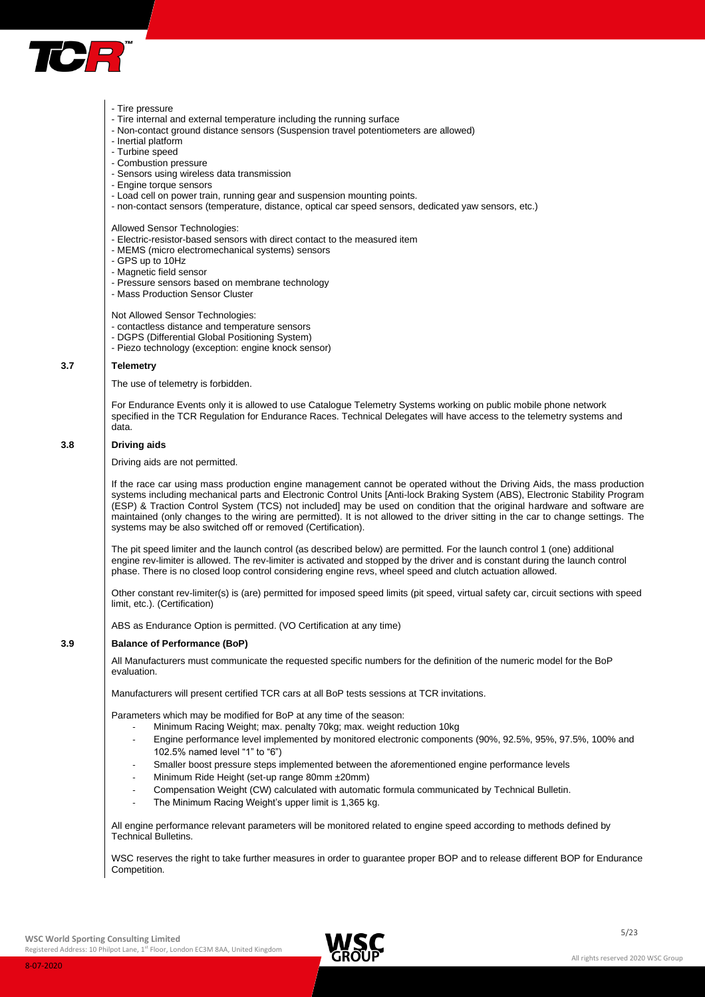

#### - Tire pressure

- Tire internal and external temperature including the running surface
- Non-contact ground distance sensors (Suspension travel potentiometers are allowed)
- Inertial platform
- Turbine speed
- Combustion pressure
- Sensors using wireless data transmission
- Engine torque sensors
- Load cell on power train, running gear and suspension mounting points.
- non-contact sensors (temperature, distance, optical car speed sensors, dedicated yaw sensors, etc.)

Allowed Sensor Technologies:

- Electric-resistor-based sensors with direct contact to the measured item
- MEMS (micro electromechanical systems) sensors
- GPS up to 10Hz
- Magnetic field sensor
- Pressure sensors based on membrane technology
- Mass Production Sensor Cluster

Not Allowed Sensor Technologies:

- contactless distance and temperature sensors
- DGPS (Differential Global Positioning System)
- Piezo technology (exception: engine knock sensor)

#### **3.7 Telemetry**

The use of telemetry is forbidden.

For Endurance Events only it is allowed to use Catalogue Telemetry Systems working on public mobile phone network specified in the TCR Regulation for Endurance Races. Technical Delegates will have access to the telemetry systems and data.

#### **3.8 Driving aids**

Driving aids are not permitted.

If the race car using mass production engine management cannot be operated without the Driving Aids, the mass production systems including mechanical parts and Electronic Control Units [Anti-lock Braking System (ABS), Electronic Stability Program (ESP) & Traction Control System (TCS) not included] may be used on condition that the original hardware and software are maintained (only changes to the wiring are permitted). It is not allowed to the driver sitting in the car to change settings. The systems may be also switched off or removed (Certification).

The pit speed limiter and the launch control (as described below) are permitted. For the launch control 1 (one) additional engine rev-limiter is allowed. The rev-limiter is activated and stopped by the driver and is constant during the launch control phase. There is no closed loop control considering engine revs, wheel speed and clutch actuation allowed.

Other constant rev-limiter(s) is (are) permitted for imposed speed limits (pit speed, virtual safety car, circuit sections with speed limit, etc.). (Certification)

ABS as Endurance Option is permitted. (VO Certification at any time)

#### **3.9 Balance of Performance (BoP)**

All Manufacturers must communicate the requested specific numbers for the definition of the numeric model for the BoP evaluation.

Manufacturers will present certified TCR cars at all BoP tests sessions at TCR invitations.

Parameters which may be modified for BoP at any time of the season:

- Minimum Racing Weight; max. penalty 70kg; max. weight reduction 10kg
- Engine performance level implemented by monitored electronic components (90%, 92.5%, 95%, 97.5%, 100% and 102.5% named level "1" to "6")
- Smaller boost pressure steps implemented between the aforementioned engine performance levels
- Minimum Ride Height (set-up range 80mm ±20mm)
- Compensation Weight (CW) calculated with automatic formula communicated by Technical Bulletin.
- The Minimum Racing Weight's upper limit is 1,365 kg.

All engine performance relevant parameters will be monitored related to engine speed according to methods defined by Technical Bulletins.

WSC reserves the right to take further measures in order to guarantee proper BOP and to release different BOP for Endurance Competition.

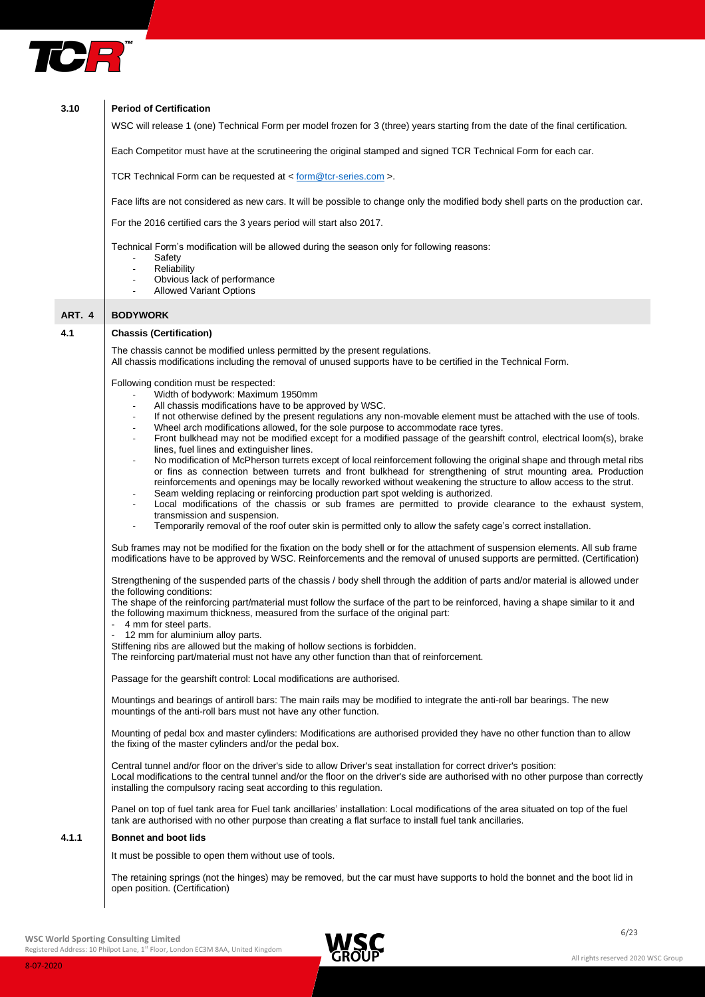

| 3.10   | <b>Period of Certification</b>                                                                                                                                                                                                                                                                                                    |
|--------|-----------------------------------------------------------------------------------------------------------------------------------------------------------------------------------------------------------------------------------------------------------------------------------------------------------------------------------|
|        | WSC will release 1 (one) Technical Form per model frozen for 3 (three) years starting from the date of the final certification.                                                                                                                                                                                                   |
|        | Each Competitor must have at the scrutineering the original stamped and signed TCR Technical Form for each car.                                                                                                                                                                                                                   |
|        | TCR Technical Form can be requested at $\lt$ form @ tcr-series.com >.                                                                                                                                                                                                                                                             |
|        | Face lifts are not considered as new cars. It will be possible to change only the modified body shell parts on the production car.                                                                                                                                                                                                |
|        | For the 2016 certified cars the 3 years period will start also 2017.                                                                                                                                                                                                                                                              |
|        | Technical Form's modification will be allowed during the season only for following reasons:<br>Safety<br>$\overline{\phantom{a}}$<br>Reliability<br>$\overline{\phantom{a}}$<br>Obvious lack of performance<br><b>Allowed Variant Options</b>                                                                                     |
| ART. 4 | <b>BODYWORK</b>                                                                                                                                                                                                                                                                                                                   |
| 4.1    | <b>Chassis (Certification)</b>                                                                                                                                                                                                                                                                                                    |
|        |                                                                                                                                                                                                                                                                                                                                   |
|        | The chassis cannot be modified unless permitted by the present regulations.<br>All chassis modifications including the removal of unused supports have to be certified in the Technical Form.                                                                                                                                     |
|        | Following condition must be respected:                                                                                                                                                                                                                                                                                            |
|        | Width of bodywork: Maximum 1950mm<br>All chassis modifications have to be approved by WSC.<br>$\overline{\phantom{a}}$                                                                                                                                                                                                            |
|        | If not otherwise defined by the present regulations any non-movable element must be attached with the use of tools.                                                                                                                                                                                                               |
|        | Wheel arch modifications allowed, for the sole purpose to accommodate race tyres.<br>$\overline{\phantom{a}}$                                                                                                                                                                                                                     |
|        | Front bulkhead may not be modified except for a modified passage of the gearshift control, electrical loom(s), brake<br>lines, fuel lines and extinguisher lines.                                                                                                                                                                 |
|        | No modification of McPherson turrets except of local reinforcement following the original shape and through metal ribs<br>$\overline{\phantom{a}}$                                                                                                                                                                                |
|        | or fins as connection between turrets and front bulkhead for strengthening of strut mounting area. Production<br>reinforcements and openings may be locally reworked without weakening the structure to allow access to the strut.                                                                                                |
|        | Seam welding replacing or reinforcing production part spot welding is authorized.                                                                                                                                                                                                                                                 |
|        | Local modifications of the chassis or sub frames are permitted to provide clearance to the exhaust system,                                                                                                                                                                                                                        |
|        | transmission and suspension.<br>Temporarily removal of the roof outer skin is permitted only to allow the safety cage's correct installation.<br>$\overline{\phantom{a}}$                                                                                                                                                         |
|        |                                                                                                                                                                                                                                                                                                                                   |
|        | Sub frames may not be modified for the fixation on the body shell or for the attachment of suspension elements. All sub frame<br>modifications have to be approved by WSC. Reinforcements and the removal of unused supports are permitted. (Certification)                                                                       |
|        | Strengthening of the suspended parts of the chassis / body shell through the addition of parts and/or material is allowed under<br>the following conditions:                                                                                                                                                                      |
|        | The shape of the reinforcing part/material must follow the surface of the part to be reinforced, having a shape similar to it and                                                                                                                                                                                                 |
|        | the following maximum thickness, measured from the surface of the original part:<br>4 mm for steel parts.                                                                                                                                                                                                                         |
|        | 12 mm for aluminium alloy parts.                                                                                                                                                                                                                                                                                                  |
|        | Stiffening ribs are allowed but the making of hollow sections is forbidden.                                                                                                                                                                                                                                                       |
|        | The reinforcing part/material must not have any other function than that of reinforcement.<br>Passage for the gearshift control: Local modifications are authorised.                                                                                                                                                              |
|        |                                                                                                                                                                                                                                                                                                                                   |
|        | Mountings and bearings of antiroll bars: The main rails may be modified to integrate the anti-roll bar bearings. The new<br>mountings of the anti-roll bars must not have any other function.                                                                                                                                     |
|        | Mounting of pedal box and master cylinders: Modifications are authorised provided they have no other function than to allow<br>the fixing of the master cylinders and/or the pedal box.                                                                                                                                           |
|        | Central tunnel and/or floor on the driver's side to allow Driver's seat installation for correct driver's position:<br>Local modifications to the central tunnel and/or the floor on the driver's side are authorised with no other purpose than correctly<br>installing the compulsory racing seat according to this regulation. |
|        | Panel on top of fuel tank area for Fuel tank ancillaries' installation: Local modifications of the area situated on top of the fuel<br>tank are authorised with no other purpose than creating a flat surface to install fuel tank ancillaries.                                                                                   |
| 4.1.1  | <b>Bonnet and boot lids</b>                                                                                                                                                                                                                                                                                                       |
|        | It must be possible to open them without use of tools.                                                                                                                                                                                                                                                                            |
|        | The retaining springs (not the hinges) may be removed, but the car must have supports to hold the bonnet and the boot lid in<br>open position. (Certification)                                                                                                                                                                    |

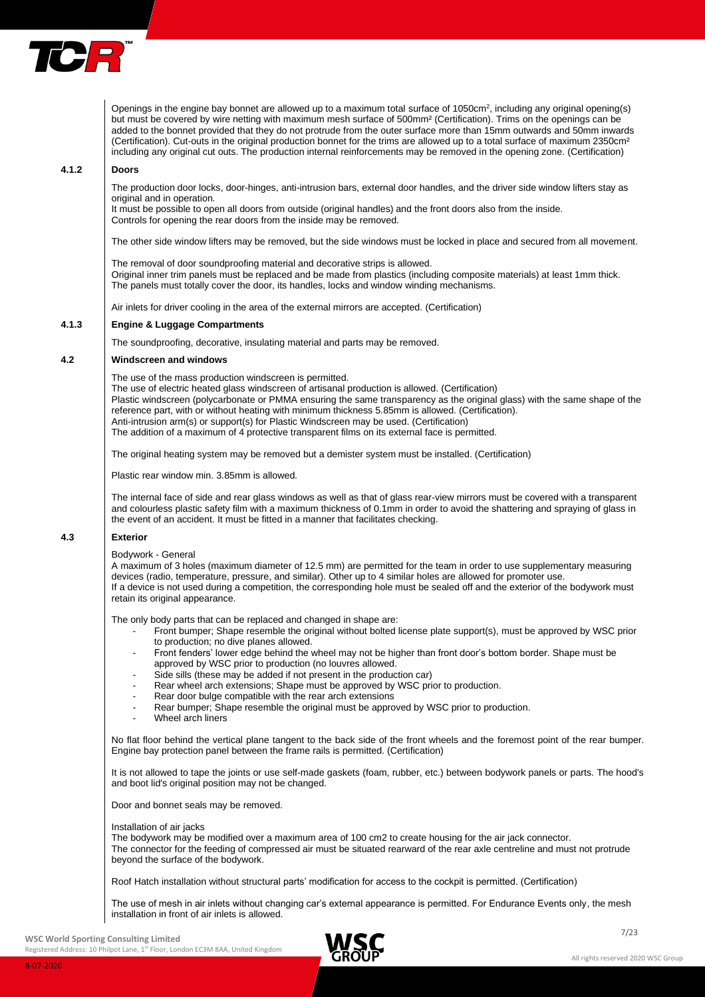

Openings in the engine bay bonnet are allowed up to a maximum total surface of 1050cm<sup>2</sup>, including any original opening(s) but must be covered by wire netting with maximum mesh surface of 500mm² (Certification). Trims on the openings can be added to the bonnet provided that they do not protrude from the outer surface more than 15mm outwards and 50mm inwards (Certification). Cut-outs in the original production bonnet for the trims are allowed up to a total surface of maximum 2350cm<sup>2</sup> including any original cut outs. The production internal reinforcements may be removed in the opening zone. (Certification)

#### **4.1.2 Doors**

The production door locks, door-hinges, anti-intrusion bars, external door handles, and the driver side window lifters stay as original and in operation.

It must be possible to open all doors from outside (original handles) and the front doors also from the inside.

Controls for opening the rear doors from the inside may be removed.

The other side window lifters may be removed, but the side windows must be locked in place and secured from all movement.

The removal of door soundproofing material and decorative strips is allowed. Original inner trim panels must be replaced and be made from plastics (including composite materials) at least 1mm thick. The panels must totally cover the door, its handles, locks and window winding mechanisms.

Air inlets for driver cooling in the area of the external mirrors are accepted. (Certification)

# **4.1.3 Engine & Luggage Compartments**

The soundproofing, decorative, insulating material and parts may be removed.

#### **4.2 Windscreen and windows**

The use of the mass production windscreen is permitted.

The use of electric heated glass windscreen of artisanal production is allowed. (Certification) Plastic windscreen (polycarbonate or PMMA ensuring the same transparency as the original glass) with the same shape of the reference part, with or without heating with minimum thickness 5.85mm is allowed. (Certification). Anti-intrusion arm(s) or support(s) for Plastic Windscreen may be used. (Certification) The addition of a maximum of 4 protective transparent films on its external face is permitted.

The original heating system may be removed but a demister system must be installed. (Certification)

Plastic rear window min. 3.85mm is allowed.

The internal face of side and rear glass windows as well as that of glass rear-view mirrors must be covered with a transparent and colourless plastic safety film with a maximum thickness of 0.1mm in order to avoid the shattering and spraying of glass in the event of an accident. It must be fitted in a manner that facilitates checking.

#### **4.3 Exterior**

Bodywork - General

A maximum of 3 holes (maximum diameter of 12.5 mm) are permitted for the team in order to use supplementary measuring devices (radio, temperature, pressure, and similar). Other up to 4 similar holes are allowed for promoter use. If a device is not used during a competition, the corresponding hole must be sealed off and the exterior of the bodywork must retain its original appearance.

The only body parts that can be replaced and changed in shape are:

- Front bumper; Shape resemble the original without bolted license plate support(s), must be approved by WSC prior to production; no dive planes allowed.
	- Front fenders' lower edge behind the wheel may not be higher than front door's bottom border. Shape must be approved by WSC prior to production (no louvres allowed.
- Side sills (these may be added if not present in the production car)
- Rear wheel arch extensions; Shape must be approved by WSC prior to production.
- Rear door bulge compatible with the rear arch extensions
- Rear bumper; Shape resemble the original must be approved by WSC prior to production.
- Wheel arch liners

No flat floor behind the vertical plane tangent to the back side of the front wheels and the foremost point of the rear bumper. Engine bay protection panel between the frame rails is permitted. (Certification)

It is not allowed to tape the joints or use self-made gaskets (foam, rubber, etc.) between bodywork panels or parts. The hood's and boot lid's original position may not be changed.

Door and bonnet seals may be removed.

#### Installation of air jacks

The bodywork may be modified over a maximum area of 100 cm2 to create housing for the air jack connector. The connector for the feeding of compressed air must be situated rearward of the rear axle centreline and must not protrude beyond the surface of the bodywork.

Roof Hatch installation without structural parts' modification for access to the cockpit is permitted. (Certification)

The use of mesh in air inlets without changing car's external appearance is permitted. For Endurance Events only, the mesh installation in front of air inlets is allowed.

**WSC World Sporting Consulting Limited**

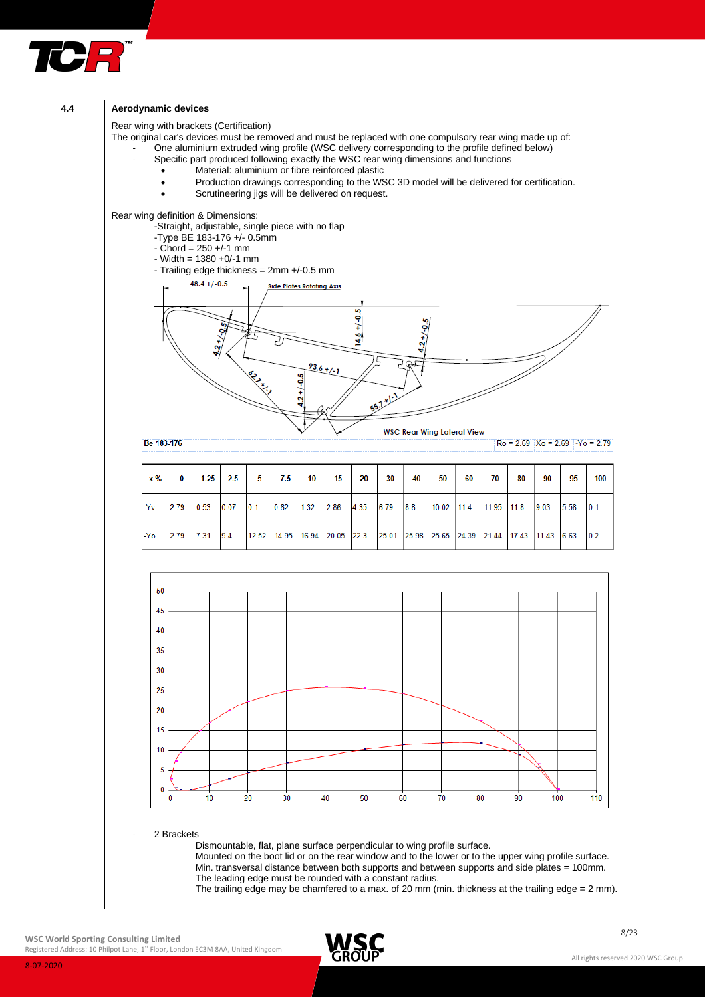

## **4.4 Aerodynamic devices**

Rear wing with brackets (Certification)

The original car's devices must be removed and must be replaced with one compulsory rear wing made up of: One aluminium extruded wing profile (WSC delivery corresponding to the profile defined below)

- Specific part produced following exactly the WSC rear wing dimensions and functions
	- Material: aluminium or fibre reinforced plastic
	- Production drawings corresponding to the WSC 3D model will be delivered for certification.
	- Scrutineering jigs will be delivered on request.

Rear wing definition & Dimensions:

- -Straight, adjustable, single piece with no flap
- -Type BE 183-176 +/- 0.5mm
- $-$  Chord = 250  $+/-1$  mm
- Width = 1380 +0/-1 mm
- Trailing edge thickness = 2mm +/-0.5 mm



 $x\%$  $\bf{0}$  $1.25$ 2.5 5  $7.5$  $10$ 15 20 30 40 50 60 70 80 90 95 100 6.79  $114$  $0.1$ 2.79 0.53  $0.07$  $0.1$ 0.62  $1.32$ 2.86 8 R 10.02 11.95  $11.8$ 9.03 5.58 -Yv 4.35 2.79  $7.31$  $9.4$  $12.52$ 14.95 16.94 20.05 22.3 25.01 25.98 25.65 24.39 21.44 17.43 11.43 6.63  $0.2$ Yo



2 Brackets

Dismountable, flat, plane surface perpendicular to wing profile surface.

Mounted on the boot lid or on the rear window and to the lower or to the upper wing profile surface. Min. transversal distance between both supports and between supports and side plates = 100mm. The leading edge must be rounded with a constant radius.

The trailing edge may be chamfered to a max. of 20 mm (min. thickness at the trailing edge = 2 mm).

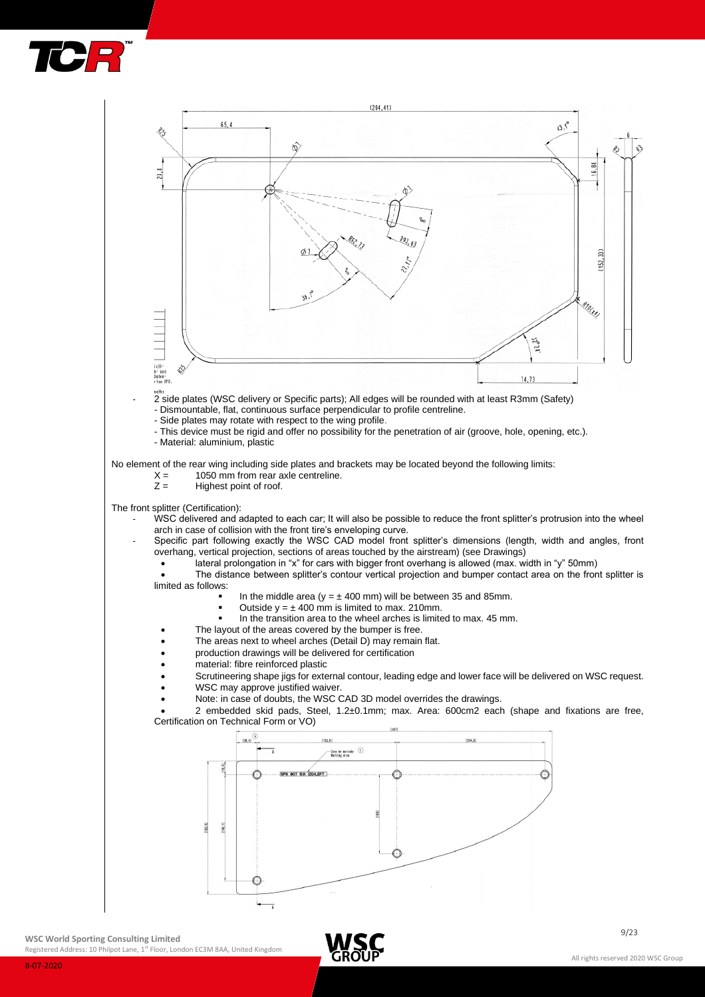



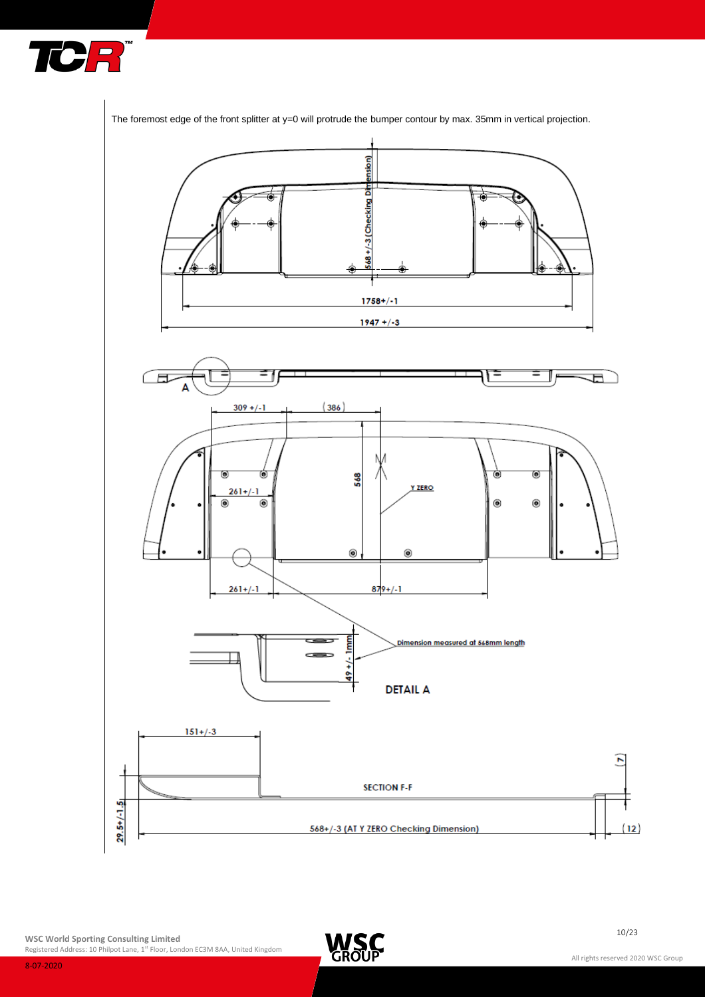



The foremost edge of the front splitter at y=0 will protrude the bumper contour by max. 35mm in vertical projection.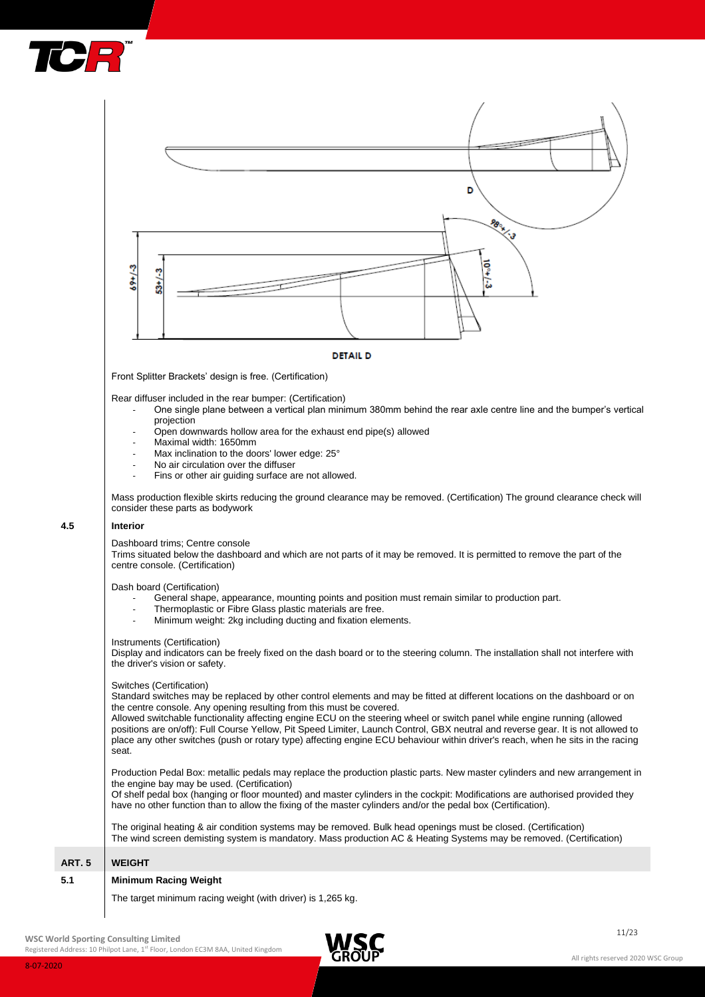



Rear diffuser included in the rear bumper: (Certification)

- One single plane between a vertical plan minimum 380mm behind the rear axle centre line and the bumper's vertical projection
	- Open downwards hollow area for the exhaust end pipe(s) allowed
	- Maximal width: 1650mm
	- Max inclination to the doors' lower edge: 25°
	- No air circulation over the diffuser
	- Fins or other air guiding surface are not allowed.

Mass production flexible skirts reducing the ground clearance may be removed. (Certification) The ground clearance check will consider these parts as bodywork

#### **4.5 Interior**

Dashboard trims; Centre console

Trims situated below the dashboard and which are not parts of it may be removed. It is permitted to remove the part of the centre console. (Certification)

Dash board (Certification)

- General shape, appearance, mounting points and position must remain similar to production part.
- Thermoplastic or Fibre Glass plastic materials are free.
- Minimum weight: 2kg including ducting and fixation elements.

#### Instruments (Certification)

Display and indicators can be freely fixed on the dash board or to the steering column. The installation shall not interfere with the driver's vision or safety.

#### Switches (Certification)

Standard switches may be replaced by other control elements and may be fitted at different locations on the dashboard or on the centre console. Any opening resulting from this must be covered.

Allowed switchable functionality affecting engine ECU on the steering wheel or switch panel while engine running (allowed positions are on/off): Full Course Yellow, Pit Speed Limiter, Launch Control, GBX neutral and reverse gear. It is not allowed to place any other switches (push or rotary type) affecting engine ECU behaviour within driver's reach, when he sits in the racing seat.

Production Pedal Box: metallic pedals may replace the production plastic parts. New master cylinders and new arrangement in the engine bay may be used. (Certification)

Of shelf pedal box (hanging or floor mounted) and master cylinders in the cockpit: Modifications are authorised provided they have no other function than to allow the fixing of the master cylinders and/or the pedal box (Certification).

The original heating & air condition systems may be removed. Bulk head openings must be closed. (Certification) The wind screen demisting system is mandatory. Mass production AC & Heating Systems may be removed. (Certification)

# **ART. 5 WEIGHT**

#### **5.1 Minimum Racing Weight**

The target minimum racing weight (with driver) is 1,265 kg.

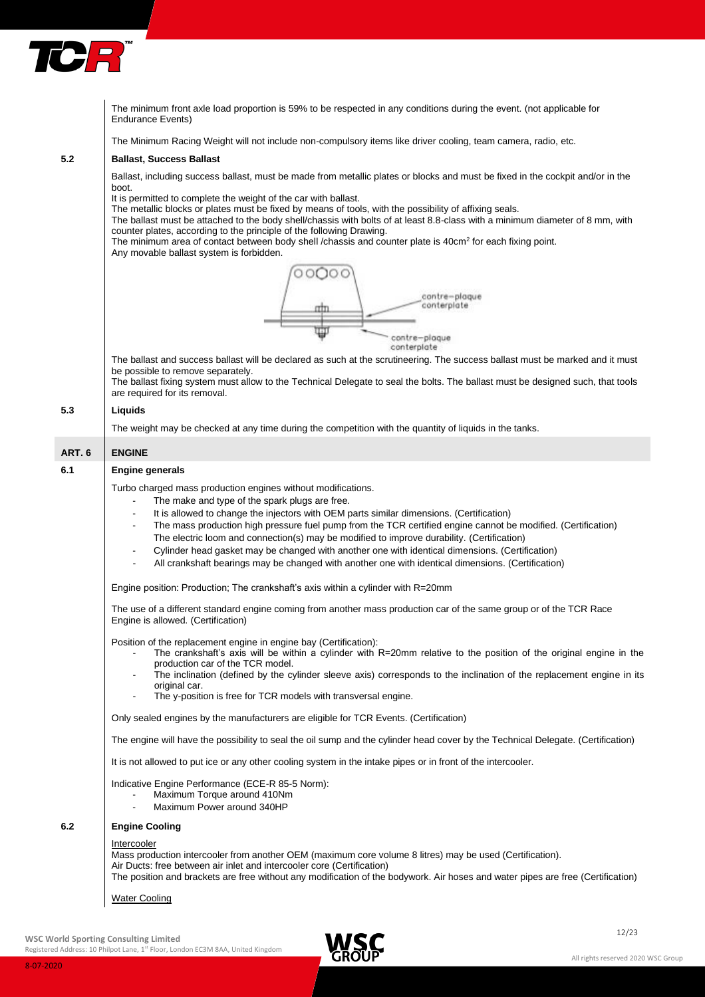

The minimum front axle load proportion is 59% to be respected in any conditions during the event. (not applicable for Endurance Events)

The Minimum Racing Weight will not include non-compulsory items like driver cooling, team camera, radio, etc.

#### **5.2 Ballast, Success Ballast**

Ballast, including success ballast, must be made from metallic plates or blocks and must be fixed in the cockpit and/or in the boot.

It is permitted to complete the weight of the car with ballast.

The metallic blocks or plates must be fixed by means of tools, with the possibility of affixing seals.

The ballast must be attached to the body shell/chassis with bolts of at least 8.8-class with a minimum diameter of 8 mm, with counter plates, according to the principle of the following Drawing.

The minimum area of contact between body shell /chassis and counter plate is 40cm<sup>2</sup> for each fixing point. Any movable ballast system is forbidden.



The ballast and success ballast will be declared as such at the scrutineering. The success ballast must be marked and it must be possible to remove separately.

The ballast fixing system must allow to the Technical Delegate to seal the bolts. The ballast must be designed such, that tools are required for its removal.

# **5.3 Liquids**

The weight may be checked at any time during the competition with the quantity of liquids in the tanks.

# **ART. 6 ENGINE**

# **6.1 Engine generals** Turbo charged mass production engines without modifications. The make and type of the spark plugs are free. It is allowed to change the injectors with OEM parts similar dimensions. (Certification) The mass production high pressure fuel pump from the TCR certified engine cannot be modified. (Certification) The electric loom and connection(s) may be modified to improve durability. (Certification) - Cylinder head gasket may be changed with another one with identical dimensions. (Certification) All crankshaft bearings may be changed with another one with identical dimensions. (Certification) Engine position: Production; The crankshaft's axis within a cylinder with R=20mm The use of a different standard engine coming from another mass production car of the same group or of the TCR Race Engine is allowed. (Certification) Position of the replacement engine in engine bay (Certification): The crankshaft's axis will be within a cylinder with R=20mm relative to the position of the original engine in the production car of the TCR model.

- The inclination (defined by the cylinder sleeve axis) corresponds to the inclination of the replacement engine in its original car.
- The y-position is free for TCR models with transversal engine.

Only sealed engines by the manufacturers are eligible for TCR Events. (Certification)

The engine will have the possibility to seal the oil sump and the cylinder head cover by the Technical Delegate. (Certification)

It is not allowed to put ice or any other cooling system in the intake pipes or in front of the intercooler.

Indicative Engine Performance (ECE-R 85-5 Norm):

- Maximum Torque around 410Nm
- Maximum Power around 340HP

# **6.2 Engine Cooling**

#### **Intercooler**

Mass production intercooler from another OEM (maximum core volume 8 litres) may be used (Certification). Air Ducts: free between air inlet and intercooler core (Certification) The position and brackets are free without any modification of the bodywork. Air hoses and water pipes are free (Certification)

Water Cooling

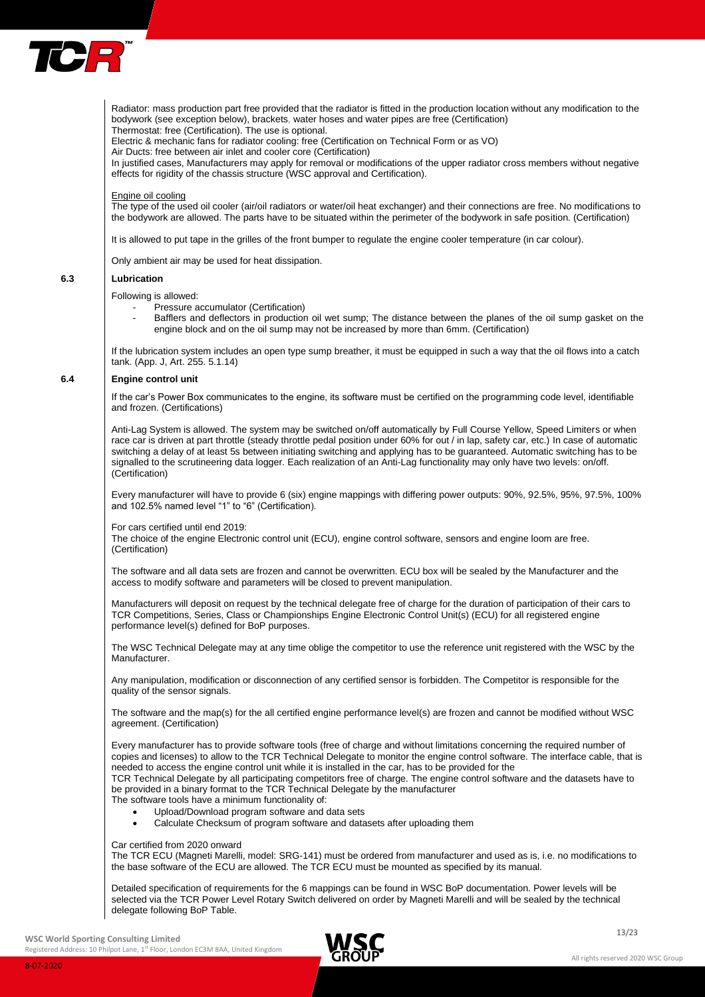

Radiator: mass production part free provided that the radiator is fitted in the production location without any modification to the bodywork (see exception below), brackets, water hoses and water pipes are free (Certification)

Thermostat: free (Certification). The use is optional.

Electric & mechanic fans for radiator cooling: free (Certification on Technical Form or as VO)

Air Ducts: free between air inlet and cooler core (Certification)

In justified cases, Manufacturers may apply for removal or modifications of the upper radiator cross members without negative effects for rigidity of the chassis structure (WSC approval and Certification).

#### Engine oil cooling

The type of the used oil cooler (air/oil radiators or water/oil heat exchanger) and their connections are free. No modifications to the bodywork are allowed. The parts have to be situated within the perimeter of the bodywork in safe position. (Certification)

It is allowed to put tape in the grilles of the front bumper to regulate the engine cooler temperature (in car colour).

Only ambient air may be used for heat dissipation.

#### **6.3 Lubrication**

# Following is allowed:

Pressure accumulator (Certification)

Bafflers and deflectors in production oil wet sump; The distance between the planes of the oil sump gasket on the engine block and on the oil sump may not be increased by more than 6mm. (Certification)

If the lubrication system includes an open type sump breather, it must be equipped in such a way that the oil flows into a catch tank. (App. J, Art. 255. 5.1.14)

#### **6.4 Engine control unit**

If the car's Power Box communicates to the engine, its software must be certified on the programming code level, identifiable and frozen. (Certifications)

Anti-Lag System is allowed. The system may be switched on/off automatically by Full Course Yellow, Speed Limiters or when race car is driven at part throttle (steady throttle pedal position under 60% for out / in lap, safety car, etc.) In case of automatic switching a delay of at least 5s between initiating switching and applying has to be guaranteed. Automatic switching has to be signalled to the scrutineering data logger. Each realization of an Anti-Lag functionality may only have two levels: on/off. (Certification)

Every manufacturer will have to provide 6 (six) engine mappings with differing power outputs: 90%, 92.5%, 95%, 97.5%, 100% and 102.5% named level "1" to "6" (Certification).

For cars certified until end 2019:

The choice of the engine Electronic control unit (ECU), engine control software, sensors and engine loom are free. (Certification)

The software and all data sets are frozen and cannot be overwritten. ECU box will be sealed by the Manufacturer and the access to modify software and parameters will be closed to prevent manipulation.

Manufacturers will deposit on request by the technical delegate free of charge for the duration of participation of their cars to TCR Competitions, Series, Class or Championships Engine Electronic Control Unit(s) (ECU) for all registered engine performance level(s) defined for BoP purposes.

The WSC Technical Delegate may at any time oblige the competitor to use the reference unit registered with the WSC by the Manufacturer.

Any manipulation, modification or disconnection of any certified sensor is forbidden. The Competitor is responsible for the quality of the sensor signals.

The software and the map(s) for the all certified engine performance level(s) are frozen and cannot be modified without WSC agreement. (Certification)

Every manufacturer has to provide software tools (free of charge and without limitations concerning the required number of copies and licenses) to allow to the TCR Technical Delegate to monitor the engine control software. The interface cable, that is needed to access the engine control unit while it is installed in the car, has to be provided for the TCR Technical Delegate by all participating competitors free of charge. The engine control software and the datasets have to

be provided in a binary format to the TCR Technical Delegate by the manufacturer The software tools have a minimum functionality of:

- Upload/Download program software and data sets
	- Calculate Checksum of program software and datasets after uploading them

#### Car certified from 2020 onward

The TCR ECU (Magneti Marelli, model: SRG-141) must be ordered from manufacturer and used as is, i.e. no modifications to the base software of the ECU are allowed. The TCR ECU must be mounted as specified by its manual.

Detailed specification of requirements for the 6 mappings can be found in WSC BoP documentation. Power levels will be selected via the TCR Power Level Rotary Switch delivered on order by Magneti Marelli and will be sealed by the technical delegate following BoP Table.

# **WSC World Sporting Consulting Limited**

8-07-2020

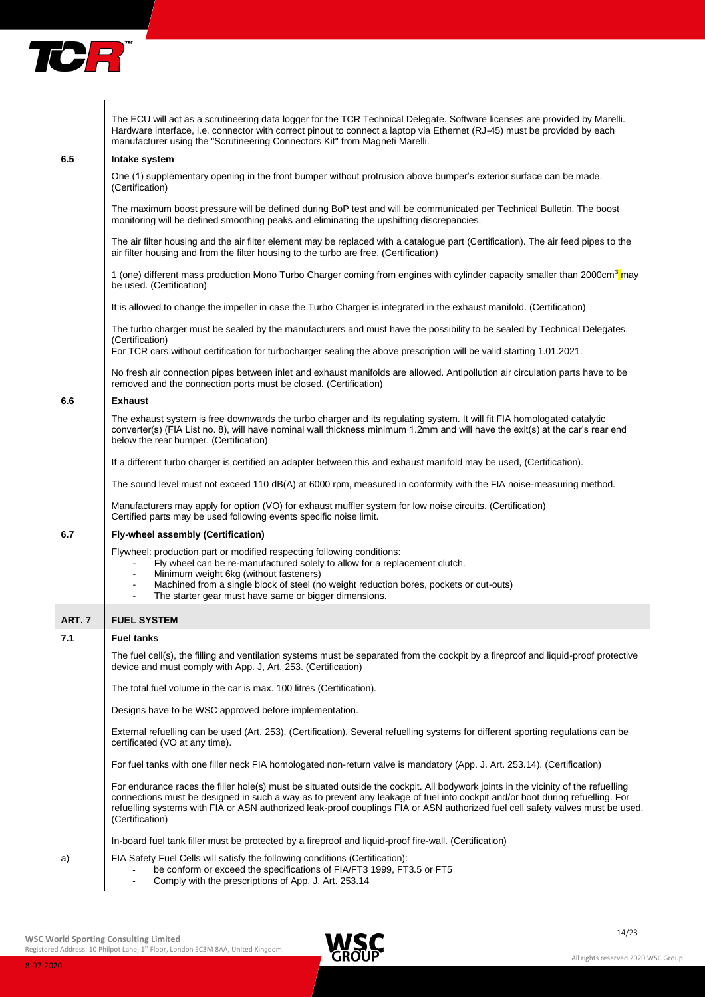

|        | The ECU will act as a scrutineering data logger for the TCR Technical Delegate. Software licenses are provided by Marelli.<br>Hardware interface, i.e. connector with correct pinout to connect a laptop via Ethernet (RJ-45) must be provided by each<br>manufacturer using the "Scrutineering Connectors Kit" from Magneti Marelli.                                                                                   |
|--------|-------------------------------------------------------------------------------------------------------------------------------------------------------------------------------------------------------------------------------------------------------------------------------------------------------------------------------------------------------------------------------------------------------------------------|
| 6.5    | Intake system                                                                                                                                                                                                                                                                                                                                                                                                           |
|        | One (1) supplementary opening in the front bumper without protrusion above bumper's exterior surface can be made.<br>(Certification)                                                                                                                                                                                                                                                                                    |
|        | The maximum boost pressure will be defined during BoP test and will be communicated per Technical Bulletin. The boost<br>monitoring will be defined smoothing peaks and eliminating the upshifting discrepancies.                                                                                                                                                                                                       |
|        | The air filter housing and the air filter element may be replaced with a catalogue part (Certification). The air feed pipes to the<br>air filter housing and from the filter housing to the turbo are free. (Certification)                                                                                                                                                                                             |
|        | 1 (one) different mass production Mono Turbo Charger coming from engines with cylinder capacity smaller than 2000cm <sup>3</sup> may<br>be used. (Certification)                                                                                                                                                                                                                                                        |
|        | It is allowed to change the impeller in case the Turbo Charger is integrated in the exhaust manifold. (Certification)                                                                                                                                                                                                                                                                                                   |
|        | The turbo charger must be sealed by the manufacturers and must have the possibility to be sealed by Technical Delegates.<br>(Certification)                                                                                                                                                                                                                                                                             |
|        | For TCR cars without certification for turbocharger sealing the above prescription will be valid starting 1.01.2021.                                                                                                                                                                                                                                                                                                    |
|        | No fresh air connection pipes between inlet and exhaust manifolds are allowed. Antipollution air circulation parts have to be<br>removed and the connection ports must be closed. (Certification)                                                                                                                                                                                                                       |
| 6.6    | <b>Exhaust</b>                                                                                                                                                                                                                                                                                                                                                                                                          |
|        | The exhaust system is free downwards the turbo charger and its regulating system. It will fit FIA homologated catalytic<br>converter(s) (FIA List no. 8), will have nominal wall thickness minimum 1.2mm and will have the exit(s) at the car's rear end<br>below the rear bumper. (Certification)                                                                                                                      |
|        | If a different turbo charger is certified an adapter between this and exhaust manifold may be used, (Certification).                                                                                                                                                                                                                                                                                                    |
|        | The sound level must not exceed 110 dB(A) at 6000 rpm, measured in conformity with the FIA noise-measuring method.                                                                                                                                                                                                                                                                                                      |
|        | Manufacturers may apply for option (VO) for exhaust muffler system for low noise circuits. (Certification)<br>Certified parts may be used following events specific noise limit.                                                                                                                                                                                                                                        |
| 6.7    | Fly-wheel assembly (Certification)                                                                                                                                                                                                                                                                                                                                                                                      |
|        | Flywheel: production part or modified respecting following conditions:<br>Fly wheel can be re-manufactured solely to allow for a replacement clutch.<br>$\blacksquare$<br>Minimum weight 6kg (without fasteners)<br>$\blacksquare$<br>Machined from a single block of steel (no weight reduction bores, pockets or cut-outs)<br>$\blacksquare$<br>The starter gear must have same or bigger dimensions.                 |
| ART. 7 | <b>FUEL SYSTEM</b>                                                                                                                                                                                                                                                                                                                                                                                                      |
| 7.1    | <b>Fuel tanks</b>                                                                                                                                                                                                                                                                                                                                                                                                       |
|        | The fuel cell(s), the filling and ventilation systems must be separated from the cockpit by a fireproof and liquid-proof protective<br>device and must comply with App. J, Art. 253. (Certification)                                                                                                                                                                                                                    |
|        | The total fuel volume in the car is max. 100 litres (Certification).                                                                                                                                                                                                                                                                                                                                                    |
|        | Designs have to be WSC approved before implementation.                                                                                                                                                                                                                                                                                                                                                                  |
|        | External refuelling can be used (Art. 253). (Certification). Several refuelling systems for different sporting regulations can be<br>certificated (VO at any time).                                                                                                                                                                                                                                                     |
|        | For fuel tanks with one filler neck FIA homologated non-return valve is mandatory (App. J. Art. 253.14). (Certification)                                                                                                                                                                                                                                                                                                |
|        | For endurance races the filler hole(s) must be situated outside the cockpit. All bodywork joints in the vicinity of the refuelling<br>connections must be designed in such a way as to prevent any leakage of fuel into cockpit and/or boot during refuelling. For<br>refuelling systems with FIA or ASN authorized leak-proof couplings FIA or ASN authorized fuel cell safety valves must be used.<br>(Certification) |
|        | In-board fuel tank filler must be protected by a fireproof and liquid-proof fire-wall. (Certification)                                                                                                                                                                                                                                                                                                                  |
| a)     | FIA Safety Fuel Cells will satisfy the following conditions (Certification):<br>be conform or exceed the specifications of FIA/FT3 1999, FT3.5 or FT5<br>Comply with the prescriptions of App. J, Art. 253.14                                                                                                                                                                                                           |
|        |                                                                                                                                                                                                                                                                                                                                                                                                                         |

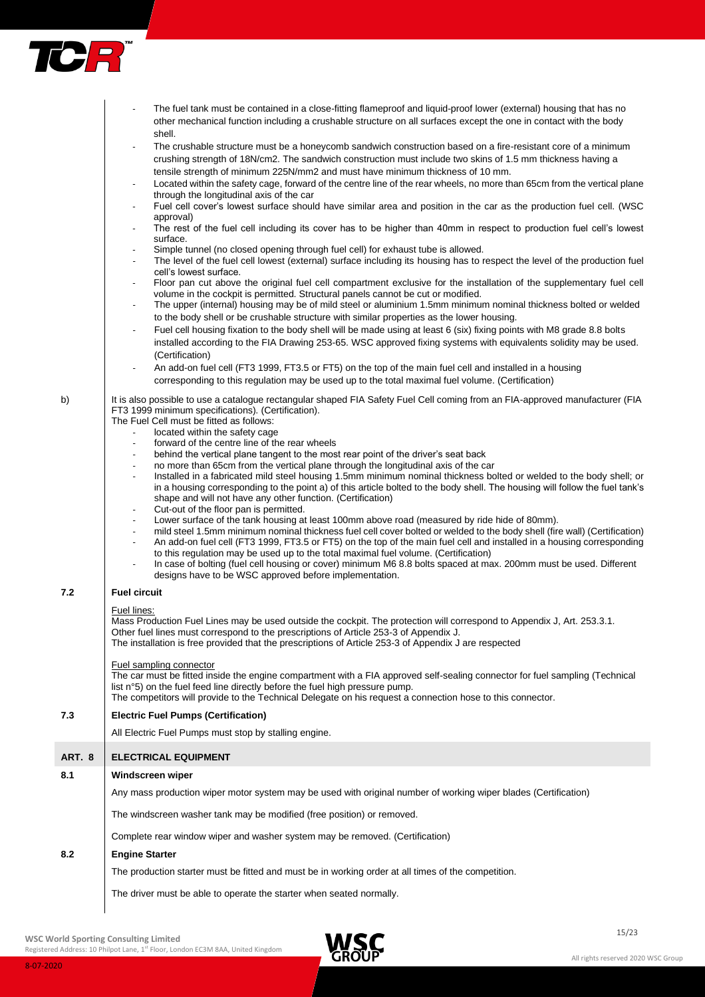

|               | The fuel tank must be contained in a close-fitting flameproof and liquid-proof lower (external) housing that has no<br>other mechanical function including a crushable structure on all surfaces except the one in contact with the body<br>shell.                                                                        |
|---------------|---------------------------------------------------------------------------------------------------------------------------------------------------------------------------------------------------------------------------------------------------------------------------------------------------------------------------|
|               | The crushable structure must be a honeycomb sandwich construction based on a fire-resistant core of a minimum                                                                                                                                                                                                             |
|               | crushing strength of 18N/cm2. The sandwich construction must include two skins of 1.5 mm thickness having a<br>tensile strength of minimum 225N/mm2 and must have minimum thickness of 10 mm.                                                                                                                             |
|               | Located within the safety cage, forward of the centre line of the rear wheels, no more than 65cm from the vertical plane<br>through the longitudinal axis of the car                                                                                                                                                      |
|               | Fuel cell cover's lowest surface should have similar area and position in the car as the production fuel cell. (WSC                                                                                                                                                                                                       |
|               | approval)<br>The rest of the fuel cell including its cover has to be higher than 40mm in respect to production fuel cell's lowest<br>surface.                                                                                                                                                                             |
|               | Simple tunnel (no closed opening through fuel cell) for exhaust tube is allowed.<br>$\overline{\phantom{a}}$                                                                                                                                                                                                              |
|               | The level of the fuel cell lowest (external) surface including its housing has to respect the level of the production fuel<br>cell's lowest surface.                                                                                                                                                                      |
|               | Floor pan cut above the original fuel cell compartment exclusive for the installation of the supplementary fuel cell                                                                                                                                                                                                      |
|               | volume in the cockpit is permitted. Structural panels cannot be cut or modified.<br>The upper (internal) housing may be of mild steel or aluminium 1.5mm minimum nominal thickness bolted or welded<br>$\sim$                                                                                                             |
|               | to the body shell or be crushable structure with similar properties as the lower housing.                                                                                                                                                                                                                                 |
|               | Fuel cell housing fixation to the body shell will be made using at least 6 (six) fixing points with M8 grade 8.8 bolts<br>installed according to the FIA Drawing 253-65. WSC approved fixing systems with equivalents solidity may be used.<br>(Certification)                                                            |
|               | An add-on fuel cell (FT3 1999, FT3.5 or FT5) on the top of the main fuel cell and installed in a housing                                                                                                                                                                                                                  |
|               | corresponding to this regulation may be used up to the total maximal fuel volume. (Certification)                                                                                                                                                                                                                         |
| b)            | It is also possible to use a catalogue rectangular shaped FIA Safety Fuel Cell coming from an FIA-approved manufacturer (FIA<br>FT3 1999 minimum specifications). (Certification).<br>The Fuel Cell must be fitted as follows:                                                                                            |
|               | located within the safety cage                                                                                                                                                                                                                                                                                            |
|               | forward of the centre line of the rear wheels<br>$\blacksquare$                                                                                                                                                                                                                                                           |
|               | behind the vertical plane tangent to the most rear point of the driver's seat back<br>$\overline{\phantom{a}}$                                                                                                                                                                                                            |
|               | no more than 65cm from the vertical plane through the longitudinal axis of the car<br>$\overline{a}$<br>Installed in a fabricated mild steel housing 1.5mm minimum nominal thickness bolted or welded to the body shell; or                                                                                               |
|               | in a housing corresponding to the point a) of this article bolted to the body shell. The housing will follow the fuel tank's                                                                                                                                                                                              |
|               | shape and will not have any other function. (Certification)                                                                                                                                                                                                                                                               |
|               | Cut-out of the floor pan is permitted.<br>$\overline{\phantom{a}}$                                                                                                                                                                                                                                                        |
|               | Lower surface of the tank housing at least 100mm above road (measured by ride hide of 80mm).<br>$\overline{\phantom{a}}$                                                                                                                                                                                                  |
|               | mild steel 1.5mm minimum nominal thickness fuel cell cover bolted or welded to the body shell (fire wall) (Certification)<br>$\overline{\phantom{a}}$                                                                                                                                                                     |
|               | An add-on fuel cell (FT3 1999, FT3.5 or FT5) on the top of the main fuel cell and installed in a housing corresponding<br>to this regulation may be used up to the total maximal fuel volume. (Certification)                                                                                                             |
|               | In case of bolting (fuel cell housing or cover) minimum M6 8.8 bolts spaced at max. 200mm must be used. Different<br>designs have to be WSC approved before implementation.                                                                                                                                               |
| 7.2           | <b>Fuel circuit</b>                                                                                                                                                                                                                                                                                                       |
|               | Fuel lines:                                                                                                                                                                                                                                                                                                               |
|               | Mass Production Fuel Lines may be used outside the cockpit. The protection will correspond to Appendix J, Art. 253.3.1.<br>Other fuel lines must correspond to the prescriptions of Article 253-3 of Appendix J.<br>The installation is free provided that the prescriptions of Article 253-3 of Appendix J are respected |
|               | Fuel sampling connector                                                                                                                                                                                                                                                                                                   |
|               | The car must be fitted inside the engine compartment with a FIA approved self-sealing connector for fuel sampling (Technical                                                                                                                                                                                              |
|               | list n°5) on the fuel feed line directly before the fuel high pressure pump.<br>The competitors will provide to the Technical Delegate on his request a connection hose to this connector.                                                                                                                                |
| 7.3           | <b>Electric Fuel Pumps (Certification)</b>                                                                                                                                                                                                                                                                                |
|               | All Electric Fuel Pumps must stop by stalling engine.                                                                                                                                                                                                                                                                     |
| ART. 8<br>8.1 | <b>ELECTRICAL EQUIPMENT</b><br>Windscreen wiper                                                                                                                                                                                                                                                                           |
|               |                                                                                                                                                                                                                                                                                                                           |
|               | Any mass production wiper motor system may be used with original number of working wiper blades (Certification)                                                                                                                                                                                                           |
|               | The windscreen washer tank may be modified (free position) or removed.<br>Complete rear window wiper and washer system may be removed. (Certification)                                                                                                                                                                    |
| 8.2           | <b>Engine Starter</b>                                                                                                                                                                                                                                                                                                     |
|               | The production starter must be fitted and must be in working order at all times of the competition.                                                                                                                                                                                                                       |
|               |                                                                                                                                                                                                                                                                                                                           |
|               | The driver must be able to operate the starter when seated normally.                                                                                                                                                                                                                                                      |

Registered Address: 10 Philpot Lane, 1<sup>st</sup> Floor, London EC3M 8AA, United Kingdom

**7.2 Fuel circuit**

**8.1 Windscreen wiper**

**8.2 Engine Starter**

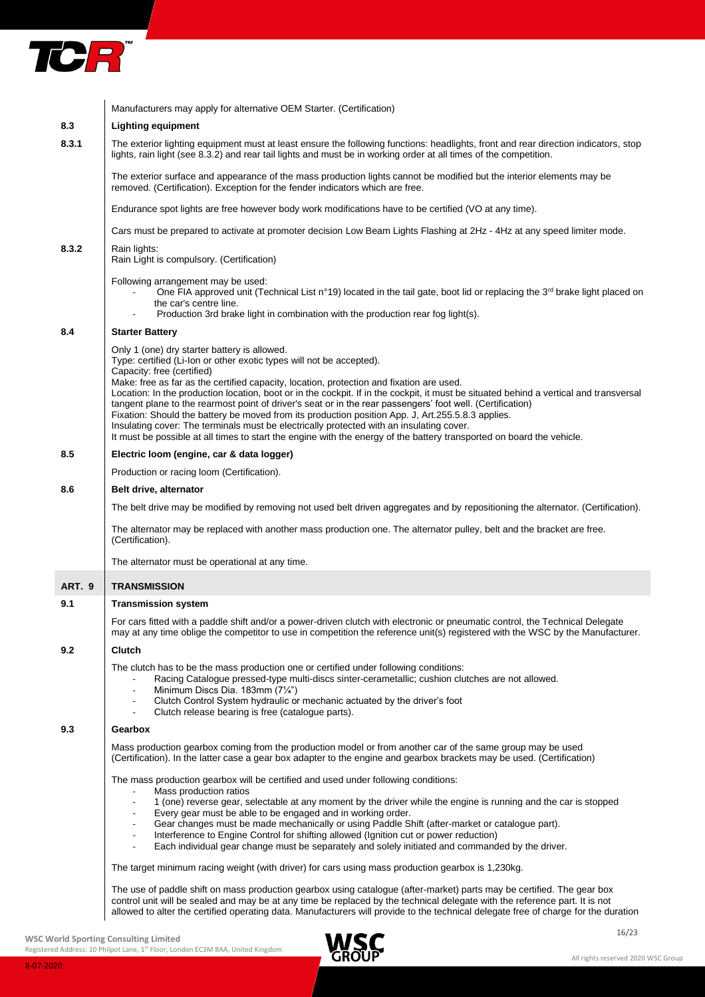

|        | Manufacturers may apply for alternative OEM Starter. (Certification)                                                                                                                                                                                                                                                                                                                                                                                                                                                                                                           |
|--------|--------------------------------------------------------------------------------------------------------------------------------------------------------------------------------------------------------------------------------------------------------------------------------------------------------------------------------------------------------------------------------------------------------------------------------------------------------------------------------------------------------------------------------------------------------------------------------|
| 8.3    | <b>Lighting equipment</b>                                                                                                                                                                                                                                                                                                                                                                                                                                                                                                                                                      |
| 8.3.1  | The exterior lighting equipment must at least ensure the following functions: headlights, front and rear direction indicators, stop<br>lights, rain light (see 8.3.2) and rear tail lights and must be in working order at all times of the competition.                                                                                                                                                                                                                                                                                                                       |
|        | The exterior surface and appearance of the mass production lights cannot be modified but the interior elements may be<br>removed. (Certification). Exception for the fender indicators which are free.                                                                                                                                                                                                                                                                                                                                                                         |
|        | Endurance spot lights are free however body work modifications have to be certified (VO at any time).                                                                                                                                                                                                                                                                                                                                                                                                                                                                          |
|        | Cars must be prepared to activate at promoter decision Low Beam Lights Flashing at 2Hz - 4Hz at any speed limiter mode.                                                                                                                                                                                                                                                                                                                                                                                                                                                        |
| 8.3.2  | Rain lights:<br>Rain Light is compulsory. (Certification)                                                                                                                                                                                                                                                                                                                                                                                                                                                                                                                      |
|        | Following arrangement may be used:<br>One FIA approved unit (Technical List n°19) located in the tail gate, boot lid or replacing the 3 <sup>rd</sup> brake light placed on<br>the car's centre line.<br>Production 3rd brake light in combination with the production rear fog light(s).                                                                                                                                                                                                                                                                                      |
| 8.4    | <b>Starter Battery</b>                                                                                                                                                                                                                                                                                                                                                                                                                                                                                                                                                         |
|        | Only 1 (one) dry starter battery is allowed.<br>Type: certified (Li-lon or other exotic types will not be accepted).<br>Capacity: free (certified)<br>Make: free as far as the certified capacity, location, protection and fixation are used.                                                                                                                                                                                                                                                                                                                                 |
|        | Location: In the production location, boot or in the cockpit. If in the cockpit, it must be situated behind a vertical and transversal<br>tangent plane to the rearmost point of driver's seat or in the rear passengers' foot well. (Certification)<br>Fixation: Should the battery be moved from its production position App. J, Art.255.5.8.3 applies.<br>Insulating cover: The terminals must be electrically protected with an insulating cover.<br>It must be possible at all times to start the engine with the energy of the battery transported on board the vehicle. |
| 8.5    | Electric loom (engine, car & data logger)                                                                                                                                                                                                                                                                                                                                                                                                                                                                                                                                      |
|        | Production or racing loom (Certification).                                                                                                                                                                                                                                                                                                                                                                                                                                                                                                                                     |
| 8.6    | Belt drive, alternator                                                                                                                                                                                                                                                                                                                                                                                                                                                                                                                                                         |
|        | The belt drive may be modified by removing not used belt driven aggregates and by repositioning the alternator. (Certification).                                                                                                                                                                                                                                                                                                                                                                                                                                               |
|        | The alternator may be replaced with another mass production one. The alternator pulley, belt and the bracket are free.<br>(Certification).                                                                                                                                                                                                                                                                                                                                                                                                                                     |
|        | The alternator must be operational at any time.                                                                                                                                                                                                                                                                                                                                                                                                                                                                                                                                |
| ART. 9 | <b>TRANSMISSION</b>                                                                                                                                                                                                                                                                                                                                                                                                                                                                                                                                                            |
| 9.1    | <b>Transmission system</b>                                                                                                                                                                                                                                                                                                                                                                                                                                                                                                                                                     |
|        | For cars fitted with a paddle shift and/or a power-driven clutch with electronic or pneumatic control, the Technical Delegate<br>may at any time oblige the competitor to use in competition the reference unit(s) registered with the WSC by the Manufacturer.                                                                                                                                                                                                                                                                                                                |
| 9.2    | <b>Clutch</b>                                                                                                                                                                                                                                                                                                                                                                                                                                                                                                                                                                  |
|        | The clutch has to be the mass production one or certified under following conditions:<br>Racing Catalogue pressed-type multi-discs sinter-cerametallic; cushion clutches are not allowed.<br>Minimum Discs Dia. 183mm (71/4")<br>$\overline{\phantom{a}}$<br>Clutch Control System hydraulic or mechanic actuated by the driver's foot<br>Clutch release bearing is free (catalogue parts).                                                                                                                                                                                    |
| 9.3    | Gearbox                                                                                                                                                                                                                                                                                                                                                                                                                                                                                                                                                                        |
|        | Mass production gearbox coming from the production model or from another car of the same group may be used<br>(Certification). In the latter case a gear box adapter to the engine and gearbox brackets may be used. (Certification)                                                                                                                                                                                                                                                                                                                                           |
|        | The mass production gearbox will be certified and used under following conditions:<br>Mass production ratios                                                                                                                                                                                                                                                                                                                                                                                                                                                                   |
|        | 1 (one) reverse gear, selectable at any moment by the driver while the engine is running and the car is stopped<br>$\overline{\phantom{a}}$<br>Every gear must be able to be engaged and in working order.<br>Gear changes must be made mechanically or using Paddle Shift (after-market or catalogue part).<br>$\overline{\phantom{a}}$                                                                                                                                                                                                                                       |
|        | Interference to Engine Control for shifting allowed (Ignition cut or power reduction)<br>$\blacksquare$<br>Each individual gear change must be separately and solely initiated and commanded by the driver.<br>$\blacksquare$                                                                                                                                                                                                                                                                                                                                                  |
|        | The target minimum racing weight (with driver) for cars using mass production gearbox is 1,230kg.                                                                                                                                                                                                                                                                                                                                                                                                                                                                              |
|        | The use of paddle shift on mass production gearbox using catalogue (after-market) parts may be certified. The gear box<br>control unit will be sealed and may be at any time be replaced by the technical delegate with the reference part. It is not<br>allowed to alter the certified operating data. Manufacturers will provide to the technical delegate free of charge for the duration                                                                                                                                                                                   |

WSC World Sporting Consulting Limited and **Intervention Consulting Limited** and **Intervention Consulting Limited** 

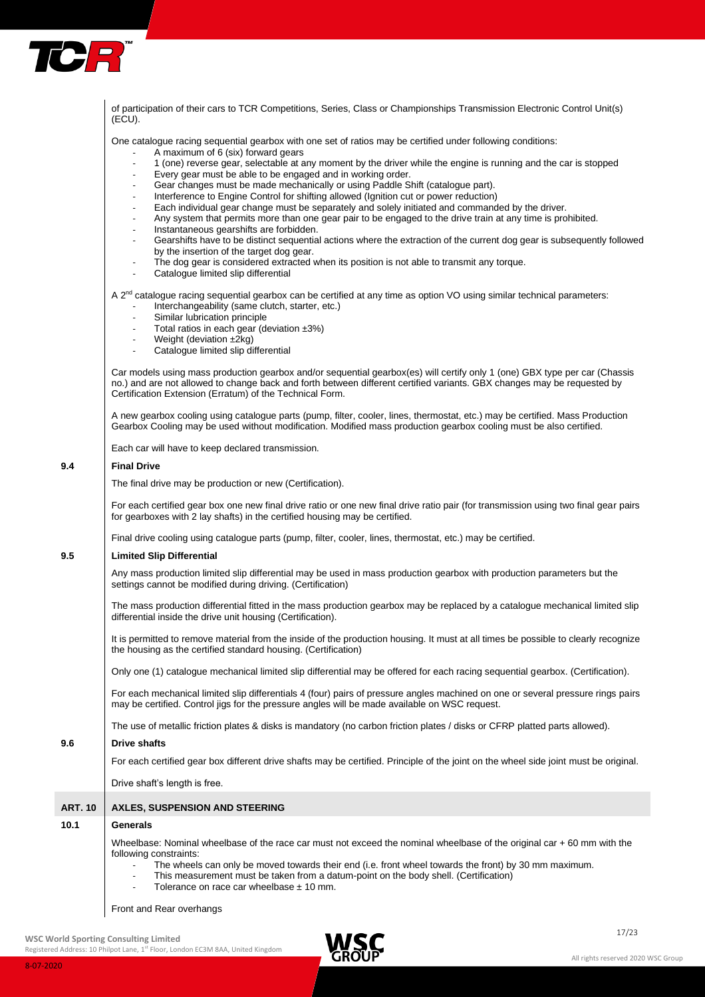

**9.4** 

**9.6 Drive shafts**

 $10.1$ 

| of participation of their cars to TCR Competitions, Series, Class or Championships Transmission Electronic Control Unit(s)<br>(ECU).                                                                                                                                                                                                                                                                                                                                                                                                                                                                                                                                                                                                                                                                                                                                                                                                                                                                                                                                                                                                                                                                                                                                                                           |
|----------------------------------------------------------------------------------------------------------------------------------------------------------------------------------------------------------------------------------------------------------------------------------------------------------------------------------------------------------------------------------------------------------------------------------------------------------------------------------------------------------------------------------------------------------------------------------------------------------------------------------------------------------------------------------------------------------------------------------------------------------------------------------------------------------------------------------------------------------------------------------------------------------------------------------------------------------------------------------------------------------------------------------------------------------------------------------------------------------------------------------------------------------------------------------------------------------------------------------------------------------------------------------------------------------------|
| One catalogue racing sequential gearbox with one set of ratios may be certified under following conditions:<br>A maximum of 6 (six) forward gears<br>$\overline{\phantom{a}}$<br>1 (one) reverse gear, selectable at any moment by the driver while the engine is running and the car is stopped<br>Every gear must be able to be engaged and in working order.<br>Gear changes must be made mechanically or using Paddle Shift (catalogue part).<br>$\overline{\phantom{a}}$<br>Interference to Engine Control for shifting allowed (Ignition cut or power reduction)<br>$\overline{\phantom{a}}$<br>Each individual gear change must be separately and solely initiated and commanded by the driver.<br>$\overline{\phantom{a}}$<br>Any system that permits more than one gear pair to be engaged to the drive train at any time is prohibited.<br>$\overline{\phantom{a}}$<br>Instantaneous gearshifts are forbidden.<br>$\overline{\phantom{a}}$<br>Gearshifts have to be distinct sequential actions where the extraction of the current dog gear is subsequently followed<br>$\blacksquare$<br>by the insertion of the target dog gear.<br>The dog gear is considered extracted when its position is not able to transmit any torque.<br>$\overline{\phantom{a}}$<br>Catalogue limited slip differential |
| A 2 <sup>nd</sup> catalogue racing sequential gearbox can be certified at any time as option VO using similar technical parameters:<br>Interchangeability (same clutch, starter, etc.)<br>Similar lubrication principle<br>Total ratios in each gear (deviation $\pm 3\%$ )<br>$\overline{\phantom{a}}$<br>Weight (deviation ±2kg)<br>$\overline{\phantom{a}}$<br>Catalogue limited slip differential<br>$\blacksquare$<br>Car models using mass production gearbox and/or sequential gearbox(es) will certify only 1 (one) GBX type per car (Chassis<br>no.) and are not allowed to change back and forth between different certified variants. GBX changes may be requested by                                                                                                                                                                                                                                                                                                                                                                                                                                                                                                                                                                                                                               |
| Certification Extension (Erratum) of the Technical Form.<br>A new gearbox cooling using catalogue parts (pump, filter, cooler, lines, thermostat, etc.) may be certified. Mass Production<br>Gearbox Cooling may be used without modification. Modified mass production gearbox cooling must be also certified.                                                                                                                                                                                                                                                                                                                                                                                                                                                                                                                                                                                                                                                                                                                                                                                                                                                                                                                                                                                                |
| Each car will have to keep declared transmission.                                                                                                                                                                                                                                                                                                                                                                                                                                                                                                                                                                                                                                                                                                                                                                                                                                                                                                                                                                                                                                                                                                                                                                                                                                                              |
| <b>Final Drive</b>                                                                                                                                                                                                                                                                                                                                                                                                                                                                                                                                                                                                                                                                                                                                                                                                                                                                                                                                                                                                                                                                                                                                                                                                                                                                                             |
| The final drive may be production or new (Certification).                                                                                                                                                                                                                                                                                                                                                                                                                                                                                                                                                                                                                                                                                                                                                                                                                                                                                                                                                                                                                                                                                                                                                                                                                                                      |
| For each certified gear box one new final drive ratio or one new final drive ratio pair (for transmission using two final gear pairs<br>for gearboxes with 2 lay shafts) in the certified housing may be certified.                                                                                                                                                                                                                                                                                                                                                                                                                                                                                                                                                                                                                                                                                                                                                                                                                                                                                                                                                                                                                                                                                            |
| Final drive cooling using catalogue parts (pump, filter, cooler, lines, thermostat, etc.) may be certified.                                                                                                                                                                                                                                                                                                                                                                                                                                                                                                                                                                                                                                                                                                                                                                                                                                                                                                                                                                                                                                                                                                                                                                                                    |
| <b>Limited Slip Differential</b>                                                                                                                                                                                                                                                                                                                                                                                                                                                                                                                                                                                                                                                                                                                                                                                                                                                                                                                                                                                                                                                                                                                                                                                                                                                                               |
| Any mass production limited slip differential may be used in mass production gearbox with production parameters but the<br>settings cannot be modified during driving. (Certification)                                                                                                                                                                                                                                                                                                                                                                                                                                                                                                                                                                                                                                                                                                                                                                                                                                                                                                                                                                                                                                                                                                                         |
| The mass production differential fitted in the mass production gearbox may be replaced by a catalogue mechanical limited slip<br>differential inside the drive unit housing (Certification).                                                                                                                                                                                                                                                                                                                                                                                                                                                                                                                                                                                                                                                                                                                                                                                                                                                                                                                                                                                                                                                                                                                   |
| It is permitted to remove material from the inside of the production housing. It must at all times be possible to clearly recognize<br>the housing as the certified standard housing. (Certification)                                                                                                                                                                                                                                                                                                                                                                                                                                                                                                                                                                                                                                                                                                                                                                                                                                                                                                                                                                                                                                                                                                          |
| Only one (1) cataloque mechanical limited slip differential may be offered for each racing sequential gearbox. (Certification).                                                                                                                                                                                                                                                                                                                                                                                                                                                                                                                                                                                                                                                                                                                                                                                                                                                                                                                                                                                                                                                                                                                                                                                |
| For each mechanical limited slip differentials 4 (four) pairs of pressure angles machined on one or several pressure rings pairs<br>may be certified. Control jigs for the pressure angles will be made available on WSC request.                                                                                                                                                                                                                                                                                                                                                                                                                                                                                                                                                                                                                                                                                                                                                                                                                                                                                                                                                                                                                                                                              |
| The use of metallic friction plates & disks is mandatory (no carbon friction plates / disks or CFRP platted parts allowed).                                                                                                                                                                                                                                                                                                                                                                                                                                                                                                                                                                                                                                                                                                                                                                                                                                                                                                                                                                                                                                                                                                                                                                                    |
| <b>Drive shafts</b>                                                                                                                                                                                                                                                                                                                                                                                                                                                                                                                                                                                                                                                                                                                                                                                                                                                                                                                                                                                                                                                                                                                                                                                                                                                                                            |
| For each certified gear box different drive shafts may be certified. Principle of the joint on the wheel side joint must be original.                                                                                                                                                                                                                                                                                                                                                                                                                                                                                                                                                                                                                                                                                                                                                                                                                                                                                                                                                                                                                                                                                                                                                                          |
| Drive shaft's length is free.                                                                                                                                                                                                                                                                                                                                                                                                                                                                                                                                                                                                                                                                                                                                                                                                                                                                                                                                                                                                                                                                                                                                                                                                                                                                                  |
| <b>AXLES, SUSPENSION AND STEERING</b>                                                                                                                                                                                                                                                                                                                                                                                                                                                                                                                                                                                                                                                                                                                                                                                                                                                                                                                                                                                                                                                                                                                                                                                                                                                                          |
| Generals                                                                                                                                                                                                                                                                                                                                                                                                                                                                                                                                                                                                                                                                                                                                                                                                                                                                                                                                                                                                                                                                                                                                                                                                                                                                                                       |
| Wheelbase: Nominal wheelbase of the race car must not exceed the nominal wheelbase of the original car +60 mm with the<br>following constraints:<br>The wheels can only be moved towards their end (i.e. front wheel towards the front) by 30 mm maximum.<br>This measurement must be taken from a datum-point on the body shell. (Certification)<br>Tolerance on race car wheelbase $\pm$ 10 mm.                                                                                                                                                                                                                                                                                                                                                                                                                                                                                                                                                                                                                                                                                                                                                                                                                                                                                                              |
|                                                                                                                                                                                                                                                                                                                                                                                                                                                                                                                                                                                                                                                                                                                                                                                                                                                                                                                                                                                                                                                                                                                                                                                                                                                                                                                |

Front and Rear overhangs

WSC World Sporting Consulting Limited **17/23** 

8-07-2020



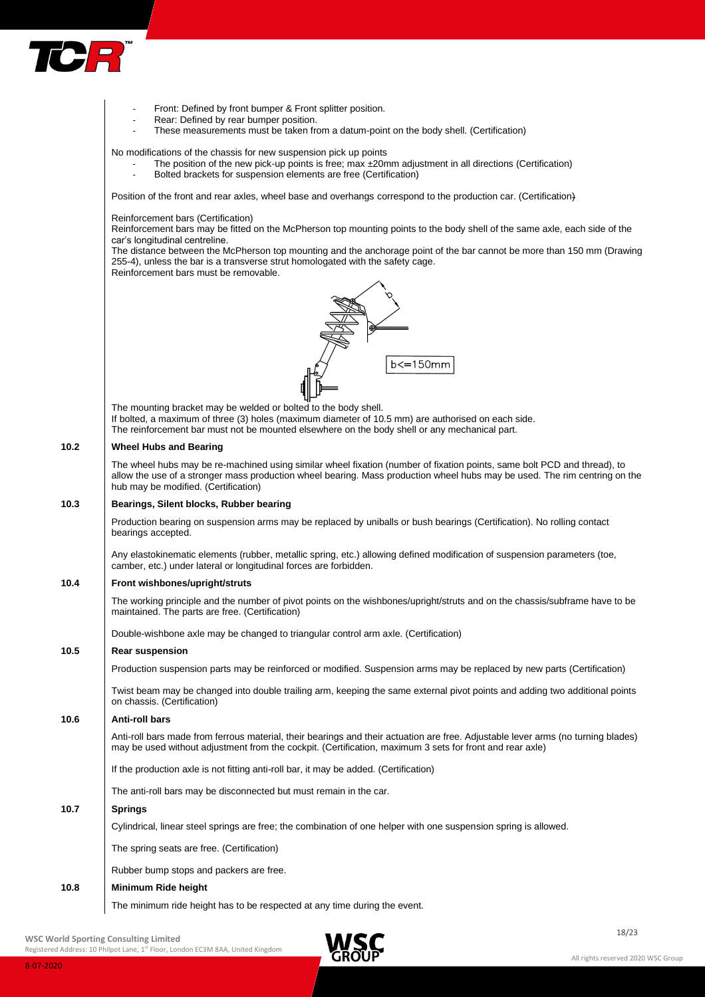

|      | Front: Defined by front bumper & Front splitter position.                                                                                                                                                                                                                                      |
|------|------------------------------------------------------------------------------------------------------------------------------------------------------------------------------------------------------------------------------------------------------------------------------------------------|
|      | Rear: Defined by rear bumper position.<br>These measurements must be taken from a datum-point on the body shell. (Certification)                                                                                                                                                               |
|      |                                                                                                                                                                                                                                                                                                |
|      | No modifications of the chassis for new suspension pick up points<br>The position of the new pick-up points is free; max ±20mm adjustment in all directions (Certification)<br>Bolted brackets for suspension elements are free (Certification)<br>$\overline{\phantom{a}}$                    |
|      | Position of the front and rear axles, wheel base and overhangs correspond to the production car. (Certification)                                                                                                                                                                               |
|      | Reinforcement bars (Certification)<br>Reinforcement bars may be fitted on the McPherson top mounting points to the body shell of the same axle, each side of the<br>car's longitudinal centreline.                                                                                             |
|      | The distance between the McPherson top mounting and the anchorage point of the bar cannot be more than 150 mm (Drawing<br>255-4), unless the bar is a transverse strut homologated with the safety cage.<br>Reinforcement bars must be removable.                                              |
|      | $b \leq 150$ mm                                                                                                                                                                                                                                                                                |
|      | The mounting bracket may be welded or bolted to the body shell.<br>If bolted, a maximum of three (3) holes (maximum diameter of 10.5 mm) are authorised on each side.<br>The reinforcement bar must not be mounted elsewhere on the body shell or any mechanical part.                         |
| 10.2 | <b>Wheel Hubs and Bearing</b>                                                                                                                                                                                                                                                                  |
|      | The wheel hubs may be re-machined using similar wheel fixation (number of fixation points, same bolt PCD and thread), to<br>allow the use of a stronger mass production wheel bearing. Mass production wheel hubs may be used. The rim centring on the<br>hub may be modified. (Certification) |
| 10.3 | Bearings, Silent blocks, Rubber bearing                                                                                                                                                                                                                                                        |
|      | Production bearing on suspension arms may be replaced by uniballs or bush bearings (Certification). No rolling contact<br>bearings accepted.                                                                                                                                                   |
|      | Any elastokinematic elements (rubber, metallic spring, etc.) allowing defined modification of suspension parameters (toe,<br>camber, etc.) under lateral or longitudinal forces are forbidden.                                                                                                 |
| 10.4 | Front wishbones/upright/struts                                                                                                                                                                                                                                                                 |
|      | The working principle and the number of pivot points on the wishbones/upright/struts and on the chassis/subframe have to be<br>maintained. The parts are free. (Certification)                                                                                                                 |
|      | Double-wishbone axle may be changed to triangular control arm axle. (Certification)                                                                                                                                                                                                            |
| 10.5 | <b>Rear suspension</b>                                                                                                                                                                                                                                                                         |
|      | Production suspension parts may be reinforced or modified. Suspension arms may be replaced by new parts (Certification)                                                                                                                                                                        |
|      | Twist beam may be changed into double trailing arm, keeping the same external pivot points and adding two additional points<br>on chassis. (Certification)                                                                                                                                     |
| 10.6 | <b>Anti-roll bars</b>                                                                                                                                                                                                                                                                          |
|      | Anti-roll bars made from ferrous material, their bearings and their actuation are free. Adjustable lever arms (no turning blades)<br>may be used without adjustment from the cockpit. (Certification, maximum 3 sets for front and rear axle)                                                  |
|      | If the production axle is not fitting anti-roll bar, it may be added. (Certification)                                                                                                                                                                                                          |
|      | The anti-roll bars may be disconnected but must remain in the car.                                                                                                                                                                                                                             |
| 10.7 | <b>Springs</b>                                                                                                                                                                                                                                                                                 |
|      | Cylindrical, linear steel springs are free; the combination of one helper with one suspension spring is allowed.                                                                                                                                                                               |
|      | The spring seats are free. (Certification)                                                                                                                                                                                                                                                     |
|      | Rubber bump stops and packers are free.                                                                                                                                                                                                                                                        |
| 10.8 | Minimum Ride height                                                                                                                                                                                                                                                                            |
|      | The minimum ride height has to be respected at any time during the event.                                                                                                                                                                                                                      |
|      |                                                                                                                                                                                                                                                                                                |

WSC World Sporting Consulting Limited and Consulting Limited and Consulting Limited and Consulting Limited and Consulting Limited and Consulting Limited and Consulting Limited and Consulting Limited and Consulting Limited

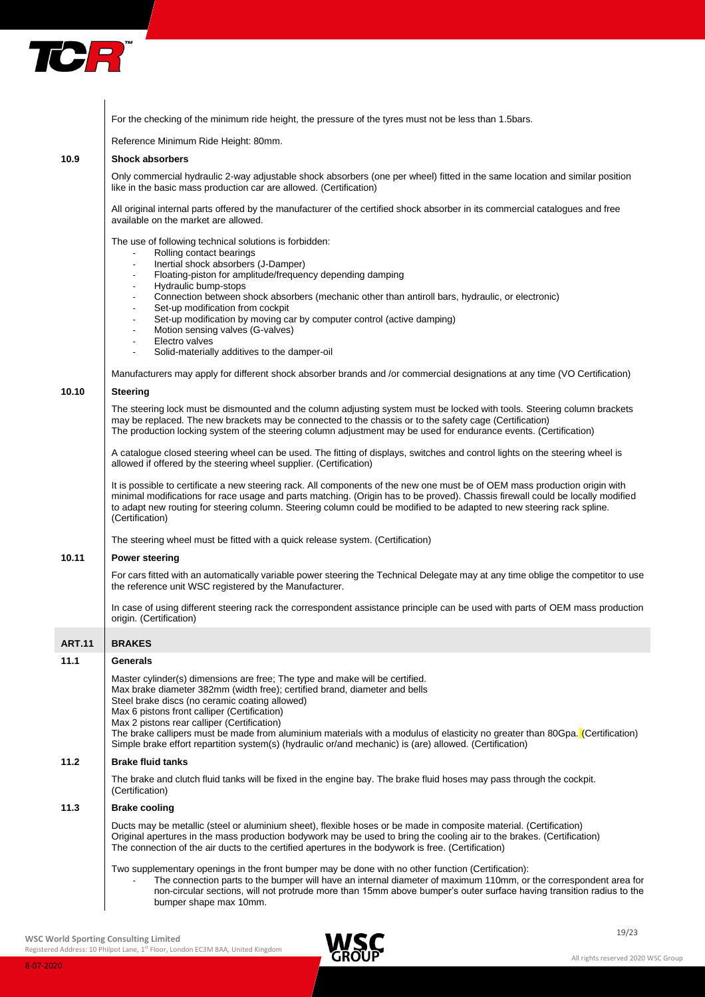

|               | For the checking of the minimum ride height, the pressure of the tyres must not be less than 1.5bars.                                                                                                                                                                                                                                                                                                                                                                                                                                                                                                                                                                                                                                                            |
|---------------|------------------------------------------------------------------------------------------------------------------------------------------------------------------------------------------------------------------------------------------------------------------------------------------------------------------------------------------------------------------------------------------------------------------------------------------------------------------------------------------------------------------------------------------------------------------------------------------------------------------------------------------------------------------------------------------------------------------------------------------------------------------|
|               | Reference Minimum Ride Height: 80mm.                                                                                                                                                                                                                                                                                                                                                                                                                                                                                                                                                                                                                                                                                                                             |
| 10.9          | <b>Shock absorbers</b>                                                                                                                                                                                                                                                                                                                                                                                                                                                                                                                                                                                                                                                                                                                                           |
|               | Only commercial hydraulic 2-way adjustable shock absorbers (one per wheel) fitted in the same location and similar position<br>like in the basic mass production car are allowed. (Certification)                                                                                                                                                                                                                                                                                                                                                                                                                                                                                                                                                                |
|               | All original internal parts offered by the manufacturer of the certified shock absorber in its commercial catalogues and free<br>available on the market are allowed.                                                                                                                                                                                                                                                                                                                                                                                                                                                                                                                                                                                            |
|               | The use of following technical solutions is forbidden:<br>Rolling contact bearings<br>Inertial shock absorbers (J-Damper)<br>$\blacksquare$<br>Floating-piston for amplitude/frequency depending damping<br>Hydraulic bump-stops<br>$\overline{\phantom{a}}$<br>Connection between shock absorbers (mechanic other than antiroll bars, hydraulic, or electronic)<br>$\overline{\phantom{a}}$<br>Set-up modification from cockpit<br>Set-up modification by moving car by computer control (active damping)<br>Motion sensing valves (G-valves)<br>Electro valves<br>$\blacksquare$<br>Solid-materially additives to the damper-oil<br>Manufacturers may apply for different shock absorber brands and /or commercial designations at any time (VO Certification) |
| 10.10         | <b>Steering</b>                                                                                                                                                                                                                                                                                                                                                                                                                                                                                                                                                                                                                                                                                                                                                  |
|               | The steering lock must be dismounted and the column adjusting system must be locked with tools. Steering column brackets<br>may be replaced. The new brackets may be connected to the chassis or to the safety cage (Certification)<br>The production locking system of the steering column adjustment may be used for endurance events. (Certification)                                                                                                                                                                                                                                                                                                                                                                                                         |
|               | A catalogue closed steering wheel can be used. The fitting of displays, switches and control lights on the steering wheel is<br>allowed if offered by the steering wheel supplier. (Certification)                                                                                                                                                                                                                                                                                                                                                                                                                                                                                                                                                               |
|               | It is possible to certificate a new steering rack. All components of the new one must be of OEM mass production origin with<br>minimal modifications for race usage and parts matching. (Origin has to be proved). Chassis firewall could be locally modified<br>to adapt new routing for steering column. Steering column could be modified to be adapted to new steering rack spline.<br>(Certification)                                                                                                                                                                                                                                                                                                                                                       |
|               | The steering wheel must be fitted with a quick release system. (Certification)                                                                                                                                                                                                                                                                                                                                                                                                                                                                                                                                                                                                                                                                                   |
| 10.11         | <b>Power steering</b>                                                                                                                                                                                                                                                                                                                                                                                                                                                                                                                                                                                                                                                                                                                                            |
|               | For cars fitted with an automatically variable power steering the Technical Delegate may at any time oblige the competitor to use<br>the reference unit WSC registered by the Manufacturer.                                                                                                                                                                                                                                                                                                                                                                                                                                                                                                                                                                      |
|               | In case of using different steering rack the correspondent assistance principle can be used with parts of OEM mass production<br>origin. (Certification)                                                                                                                                                                                                                                                                                                                                                                                                                                                                                                                                                                                                         |
| <b>ART.11</b> | <b>BRAKES</b>                                                                                                                                                                                                                                                                                                                                                                                                                                                                                                                                                                                                                                                                                                                                                    |
| 11.1          | Generals                                                                                                                                                                                                                                                                                                                                                                                                                                                                                                                                                                                                                                                                                                                                                         |
|               | Master cylinder(s) dimensions are free; The type and make will be certified.<br>Max brake diameter 382mm (width free); certified brand, diameter and bells<br>Steel brake discs (no ceramic coating allowed)<br>Max 6 pistons front calliper (Certification)<br>Max 2 pistons rear calliper (Certification)<br>The brake callipers must be made from aluminium materials with a modulus of elasticity no greater than 80Gpa. (Certification)<br>Simple brake effort repartition system(s) (hydraulic or/and mechanic) is (are) allowed. (Certification)                                                                                                                                                                                                          |
| 11.2          | <b>Brake fluid tanks</b>                                                                                                                                                                                                                                                                                                                                                                                                                                                                                                                                                                                                                                                                                                                                         |
|               | The brake and clutch fluid tanks will be fixed in the engine bay. The brake fluid hoses may pass through the cockpit.<br>(Certification)                                                                                                                                                                                                                                                                                                                                                                                                                                                                                                                                                                                                                         |
| 11.3          | <b>Brake cooling</b>                                                                                                                                                                                                                                                                                                                                                                                                                                                                                                                                                                                                                                                                                                                                             |
|               | Ducts may be metallic (steel or aluminium sheet), flexible hoses or be made in composite material. (Certification)<br>Original apertures in the mass production bodywork may be used to bring the cooling air to the brakes. (Certification)<br>The connection of the air ducts to the certified apertures in the bodywork is free. (Certification)                                                                                                                                                                                                                                                                                                                                                                                                              |
|               | Two supplementary openings in the front bumper may be done with no other function (Certification):<br>The connection parts to the bumper will have an internal diameter of maximum 110mm, or the correspondent area for<br>non-circular sections, will not protrude more than 15mm above bumper's outer surface having transition radius to the<br>bumper shape max 10mm.                                                                                                                                                                                                                                                                                                                                                                                        |

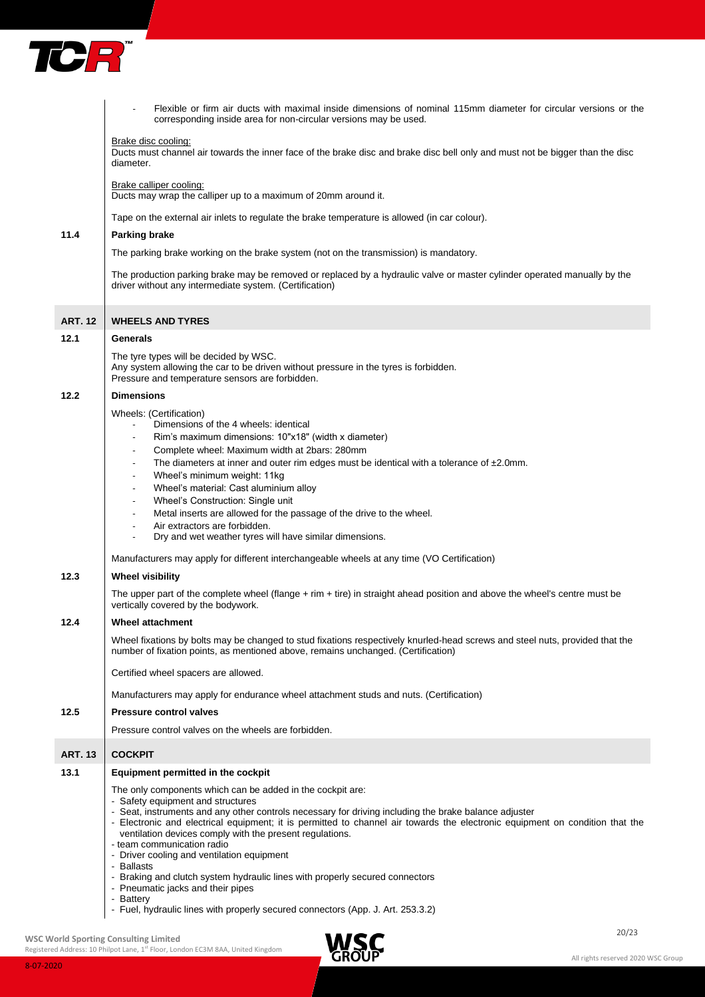

|                | Flexible or firm air ducts with maximal inside dimensions of nominal 115mm diameter for circular versions or the<br>corresponding inside area for non-circular versions may be used.                                                                                                                                                                                                                                                                                             |
|----------------|----------------------------------------------------------------------------------------------------------------------------------------------------------------------------------------------------------------------------------------------------------------------------------------------------------------------------------------------------------------------------------------------------------------------------------------------------------------------------------|
|                | Brake disc cooling:<br>Ducts must channel air towards the inner face of the brake disc and brake disc bell only and must not be bigger than the disc<br>diameter.                                                                                                                                                                                                                                                                                                                |
|                | Brake calliper cooling:<br>Ducts may wrap the calliper up to a maximum of 20mm around it.                                                                                                                                                                                                                                                                                                                                                                                        |
|                | Tape on the external air inlets to regulate the brake temperature is allowed (in car colour).                                                                                                                                                                                                                                                                                                                                                                                    |
| 11.4           | <b>Parking brake</b>                                                                                                                                                                                                                                                                                                                                                                                                                                                             |
|                | The parking brake working on the brake system (not on the transmission) is mandatory.                                                                                                                                                                                                                                                                                                                                                                                            |
|                | The production parking brake may be removed or replaced by a hydraulic valve or master cylinder operated manually by the<br>driver without any intermediate system. (Certification)                                                                                                                                                                                                                                                                                              |
| <b>ART. 12</b> | <b>WHEELS AND TYRES</b>                                                                                                                                                                                                                                                                                                                                                                                                                                                          |
| 12.1           | <b>Generals</b>                                                                                                                                                                                                                                                                                                                                                                                                                                                                  |
|                | The tyre types will be decided by WSC.<br>Any system allowing the car to be driven without pressure in the tyres is forbidden.<br>Pressure and temperature sensors are forbidden.                                                                                                                                                                                                                                                                                                |
| 12.2           | <b>Dimensions</b>                                                                                                                                                                                                                                                                                                                                                                                                                                                                |
|                | Wheels: (Certification)<br>Dimensions of the 4 wheels: identical                                                                                                                                                                                                                                                                                                                                                                                                                 |
|                | Rim's maximum dimensions: 10"x18" (width x diameter)                                                                                                                                                                                                                                                                                                                                                                                                                             |
|                | Complete wheel: Maximum width at 2bars: 280mm<br>$\blacksquare$                                                                                                                                                                                                                                                                                                                                                                                                                  |
|                | The diameters at inner and outer rim edges must be identical with a tolerance of $\pm 2.0$ mm.<br>$\blacksquare$<br>Wheel's minimum weight: 11kg<br>$\blacksquare$                                                                                                                                                                                                                                                                                                               |
|                | Wheel's material: Cast aluminium alloy<br>$\overline{\phantom{a}}$                                                                                                                                                                                                                                                                                                                                                                                                               |
|                | Wheel's Construction: Single unit<br>$\overline{\phantom{a}}$<br>Metal inserts are allowed for the passage of the drive to the wheel.                                                                                                                                                                                                                                                                                                                                            |
|                | Air extractors are forbidden.                                                                                                                                                                                                                                                                                                                                                                                                                                                    |
|                | Dry and wet weather tyres will have similar dimensions.<br>$\blacksquare$                                                                                                                                                                                                                                                                                                                                                                                                        |
|                | Manufacturers may apply for different interchangeable wheels at any time (VO Certification)                                                                                                                                                                                                                                                                                                                                                                                      |
| 12.3           | <b>Wheel visibility</b>                                                                                                                                                                                                                                                                                                                                                                                                                                                          |
|                | The upper part of the complete wheel (flange + rim + tire) in straight ahead position and above the wheel's centre must be<br>vertically covered by the bodywork.                                                                                                                                                                                                                                                                                                                |
| 12.4           | <b>Wheel attachment</b>                                                                                                                                                                                                                                                                                                                                                                                                                                                          |
|                | Wheel fixations by bolts may be changed to stud fixations respectively knurled-head screws and steel nuts, provided that the<br>number of fixation points, as mentioned above, remains unchanged. (Certification)                                                                                                                                                                                                                                                                |
|                | Certified wheel spacers are allowed.                                                                                                                                                                                                                                                                                                                                                                                                                                             |
|                | Manufacturers may apply for endurance wheel attachment studs and nuts. (Certification)                                                                                                                                                                                                                                                                                                                                                                                           |
| 12.5           | <b>Pressure control valves</b>                                                                                                                                                                                                                                                                                                                                                                                                                                                   |
|                | Pressure control valves on the wheels are forbidden.                                                                                                                                                                                                                                                                                                                                                                                                                             |
| <b>ART. 13</b> | <b>COCKPIT</b>                                                                                                                                                                                                                                                                                                                                                                                                                                                                   |
| 13.1           | Equipment permitted in the cockpit                                                                                                                                                                                                                                                                                                                                                                                                                                               |
|                | The only components which can be added in the cockpit are:<br>- Safety equipment and structures<br>- Seat, instruments and any other controls necessary for driving including the brake balance adjuster<br>- Electronic and electrical equipment; it is permitted to channel air towards the electronic equipment on condition that the<br>ventilation devices comply with the present regulations.<br>- team communication radio<br>- Driver cooling and ventilation equipment |
|                | - Ballasts<br>- Braking and clutch system hydraulic lines with properly secured connectors                                                                                                                                                                                                                                                                                                                                                                                       |
|                | - Pneumatic jacks and their pipes<br>- Battery                                                                                                                                                                                                                                                                                                                                                                                                                                   |
|                | - Fuel, hydraulic lines with properly secured connectors (App. J. Art. 253.3.2)                                                                                                                                                                                                                                                                                                                                                                                                  |

20/23 **WSC World Sporting Consulting Limited**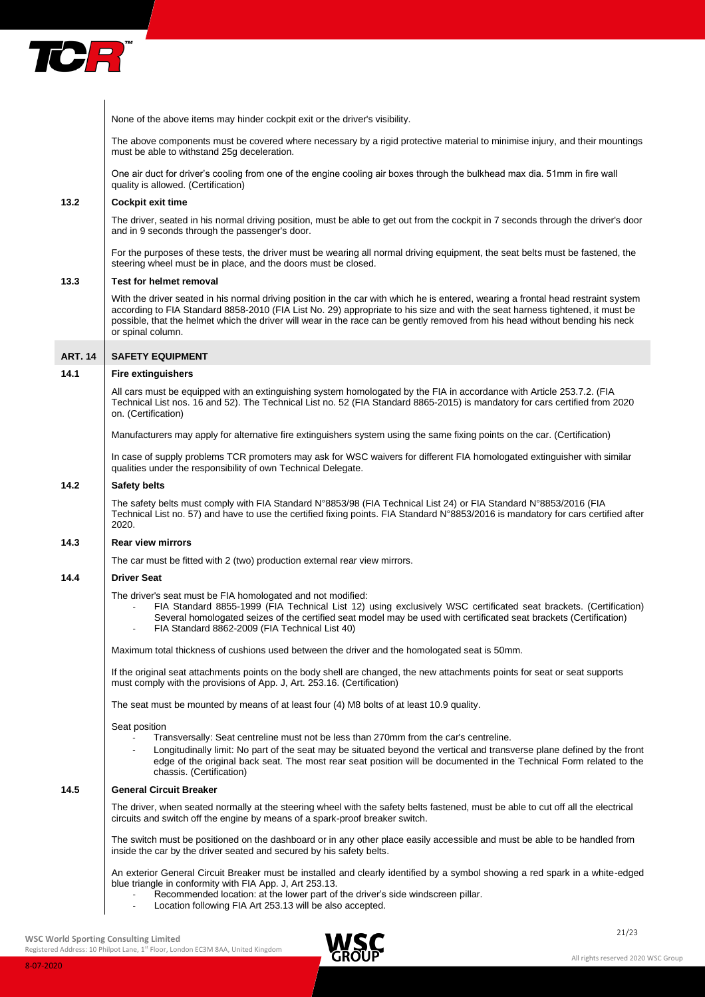

None of the above items may hinder cockpit exit or the driver's visibility.

The above components must be covered where necessary by a rigid protective material to minimise injury, and their mountings must be able to withstand 25g deceleration.

One air duct for driver's cooling from one of the engine cooling air boxes through the bulkhead max dia. 51mm in fire wall quality is allowed. (Certification)

# **13.2 Cockpit exit time**

The driver, seated in his normal driving position, must be able to get out from the cockpit in 7 seconds through the driver's door and in 9 seconds through the passenger's door.

For the purposes of these tests, the driver must be wearing all normal driving equipment, the seat belts must be fastened, the steering wheel must be in place, and the doors must be closed.

#### **13.3 Test for helmet removal**

With the driver seated in his normal driving position in the car with which he is entered, wearing a frontal head restraint system according to FIA Standard 8858-2010 (FIA List No. 29) appropriate to his size and with the seat harness tightened, it must be possible, that the helmet which the driver will wear in the race can be gently removed from his head without bending his neck or spinal column.

#### **ART. 14 SAFETY EQUIPMENT**

#### **14.1 Fire extinguishers**

All cars must be equipped with an extinguishing system homologated by the FIA in accordance with Article 253.7.2. (FIA Technical List nos. 16 and 52). The Technical List no. 52 (FIA Standard 8865-2015) is mandatory for cars certified from 2020 on. (Certification)

Manufacturers may apply for alternative fire extinguishers system using the same fixing points on the car. (Certification)

In case of supply problems TCR promoters may ask for WSC waivers for different FIA homologated extinguisher with similar qualities under the responsibility of own Technical Delegate.

## **14.2 Safety belts**

The safety belts must comply with FIA Standard N°8853/98 (FIA Technical List 24) or FIA Standard N°8853/2016 (FIA Technical List no. 57) and have to use the certified fixing points. FIA Standard N°8853/2016 is mandatory for cars certified after 2020.

## **14.3 Rear view mirrors**

The car must be fitted with 2 (two) production external rear view mirrors.

# **14.4 Driver Seat**

The driver's seat must be FIA homologated and not modified:

- FIA Standard 8855-1999 (FIA Technical List 12) using exclusively WSC certificated seat brackets. (Certification) Several homologated seizes of the certified seat model may be used with certificated seat brackets (Certification) FIA Standard 8862-2009 (FIA Technical List 40)
- 

Maximum total thickness of cushions used between the driver and the homologated seat is 50mm.

If the original seat attachments points on the body shell are changed, the new attachments points for seat or seat supports must comply with the provisions of App. J, Art. 253.16. (Certification)

The seat must be mounted by means of at least four (4) M8 bolts of at least 10.9 quality.

Seat position

- Transversally: Seat centreline must not be less than 270mm from the car's centreline.
- Longitudinally limit: No part of the seat may be situated beyond the vertical and transverse plane defined by the front edge of the original back seat. The most rear seat position will be documented in the Technical Form related to the chassis. (Certification)

# **14.5 General Circuit Breaker**

The driver, when seated normally at the steering wheel with the safety belts fastened, must be able to cut off all the electrical circuits and switch off the engine by means of a spark-proof breaker switch.

The switch must be positioned on the dashboard or in any other place easily accessible and must be able to be handled from inside the car by the driver seated and secured by his safety belts.

An exterior General Circuit Breaker must be installed and clearly identified by a symbol showing a red spark in a white-edged blue triangle in conformity with FIA App. J, Art 253.13.

- Recommended location: at the lower part of the driver's side windscreen pillar.
	- Location following FIA Art 253.13 will be also accepted.

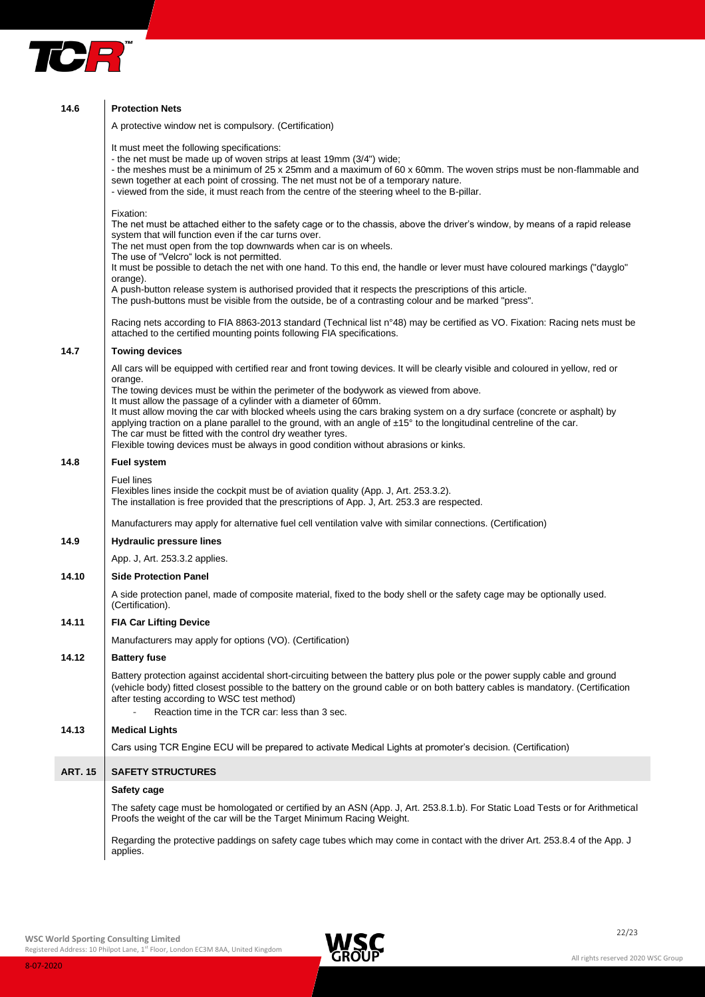

| 14.6           | <b>Protection Nets</b>                                                                                                                                                                                                                                                                                                                                                                                                                                                                                                                                                                                                                                                            |
|----------------|-----------------------------------------------------------------------------------------------------------------------------------------------------------------------------------------------------------------------------------------------------------------------------------------------------------------------------------------------------------------------------------------------------------------------------------------------------------------------------------------------------------------------------------------------------------------------------------------------------------------------------------------------------------------------------------|
|                | A protective window net is compulsory. (Certification)                                                                                                                                                                                                                                                                                                                                                                                                                                                                                                                                                                                                                            |
|                | It must meet the following specifications:<br>- the net must be made up of woven strips at least 19mm (3/4") wide;<br>- the meshes must be a minimum of 25 x 25mm and a maximum of 60 x 60mm. The woven strips must be non-flammable and<br>sewn together at each point of crossing. The net must not be of a temporary nature.<br>- viewed from the side, it must reach from the centre of the steering wheel to the B-pillar.                                                                                                                                                                                                                                                   |
|                | Fixation:<br>The net must be attached either to the safety cage or to the chassis, above the driver's window, by means of a rapid release<br>system that will function even if the car turns over.<br>The net must open from the top downwards when car is on wheels.<br>The use of "Velcro" lock is not permitted.<br>It must be possible to detach the net with one hand. To this end, the handle or lever must have coloured markings ("dayglo"<br>orange).<br>A push-button release system is authorised provided that it respects the prescriptions of this article.<br>The push-buttons must be visible from the outside, be of a contrasting colour and be marked "press". |
|                | Racing nets according to FIA 8863-2013 standard (Technical list n°48) may be certified as VO. Fixation: Racing nets must be<br>attached to the certified mounting points following FIA specifications.                                                                                                                                                                                                                                                                                                                                                                                                                                                                            |
| 14.7           | <b>Towing devices</b>                                                                                                                                                                                                                                                                                                                                                                                                                                                                                                                                                                                                                                                             |
|                | All cars will be equipped with certified rear and front towing devices. It will be clearly visible and coloured in yellow, red or<br>orange.<br>The towing devices must be within the perimeter of the bodywork as viewed from above.                                                                                                                                                                                                                                                                                                                                                                                                                                             |
|                | It must allow the passage of a cylinder with a diameter of 60mm.<br>It must allow moving the car with blocked wheels using the cars braking system on a dry surface (concrete or asphalt) by<br>applying traction on a plane parallel to the ground, with an angle of $\pm 15^{\circ}$ to the longitudinal centreline of the car.<br>The car must be fitted with the control dry weather tyres.<br>Flexible towing devices must be always in good condition without abrasions or kinks.                                                                                                                                                                                           |
| 14.8           | <b>Fuel system</b>                                                                                                                                                                                                                                                                                                                                                                                                                                                                                                                                                                                                                                                                |
|                | <b>Fuel lines</b><br>Flexibles lines inside the cockpit must be of aviation quality (App. J, Art. 253.3.2).<br>The installation is free provided that the prescriptions of App. J, Art. 253.3 are respected.                                                                                                                                                                                                                                                                                                                                                                                                                                                                      |
|                | Manufacturers may apply for alternative fuel cell ventilation valve with similar connections. (Certification)                                                                                                                                                                                                                                                                                                                                                                                                                                                                                                                                                                     |
| 14.9           | <b>Hydraulic pressure lines</b>                                                                                                                                                                                                                                                                                                                                                                                                                                                                                                                                                                                                                                                   |
|                | App. J, Art. 253.3.2 applies.                                                                                                                                                                                                                                                                                                                                                                                                                                                                                                                                                                                                                                                     |
| 14.10          | <b>Side Protection Panel</b>                                                                                                                                                                                                                                                                                                                                                                                                                                                                                                                                                                                                                                                      |
|                | A side protection panel, made of composite material, fixed to the body shell or the safety cage may be optionally used.<br>(Certification).                                                                                                                                                                                                                                                                                                                                                                                                                                                                                                                                       |
| 14.11          | <b>FIA Car Lifting Device</b>                                                                                                                                                                                                                                                                                                                                                                                                                                                                                                                                                                                                                                                     |
|                | Manufacturers may apply for options (VO). (Certification)                                                                                                                                                                                                                                                                                                                                                                                                                                                                                                                                                                                                                         |
| 14.12          | <b>Battery fuse</b>                                                                                                                                                                                                                                                                                                                                                                                                                                                                                                                                                                                                                                                               |
|                | Battery protection against accidental short-circuiting between the battery plus pole or the power supply cable and ground<br>(vehicle body) fitted closest possible to the battery on the ground cable or on both battery cables is mandatory. (Certification<br>after testing according to WSC test method)<br>Reaction time in the TCR car: less than 3 sec.                                                                                                                                                                                                                                                                                                                    |
| 14.13          | <b>Medical Lights</b>                                                                                                                                                                                                                                                                                                                                                                                                                                                                                                                                                                                                                                                             |
|                | Cars using TCR Engine ECU will be prepared to activate Medical Lights at promoter's decision. (Certification)                                                                                                                                                                                                                                                                                                                                                                                                                                                                                                                                                                     |
| <b>ART. 15</b> | <b>SAFETY STRUCTURES</b>                                                                                                                                                                                                                                                                                                                                                                                                                                                                                                                                                                                                                                                          |
|                | <b>Safety cage</b>                                                                                                                                                                                                                                                                                                                                                                                                                                                                                                                                                                                                                                                                |
|                | The safety cage must be homologated or certified by an ASN (App. J, Art. 253.8.1.b). For Static Load Tests or for Arithmetical<br>Proofs the weight of the car will be the Target Minimum Racing Weight.                                                                                                                                                                                                                                                                                                                                                                                                                                                                          |
|                | Begarding the protective poddings on optaty cogs tubes which moy come in centest with the driver $\Delta r$ 252.8 $\Delta$ of the $\Delta r$                                                                                                                                                                                                                                                                                                                                                                                                                                                                                                                                      |

Regarding the protective paddings on safety cage tubes which may come in contact with the driver Art. 253.8.4 of the App. J applies.